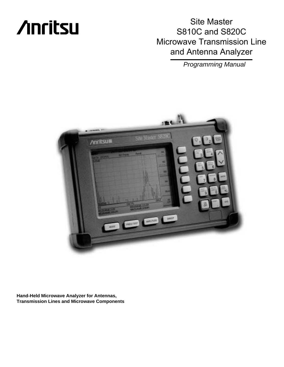# **/inritsu**

Site Master S810C and S820C Microwave Transmission Line and Antenna Analyzer

Programming Manual



**Hand-Held Microwave Analyzer for Antennas, Transmission Lines and Microwave Components**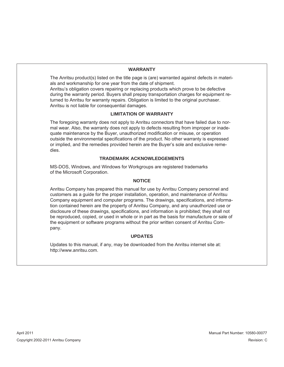# **WARRANTY**

The Anritsu product(s) listed on the title page is (are) warranted against defects in materials and workmanship for one year from the date of shipment.

Anritsu's obligation covers repairing or replacing products which prove to be defective during the warranty period. Buyers shall prepay transportation charges for equipment returned to Anritsu for warranty repairs. Obligation is limited to the original purchaser. Anritsu is not liable for consequential damages.

## **LIMITATION OF WARRANTY**

The foregoing warranty does not apply to Anritsu connectors that have failed due to normal wear. Also, the warranty does not apply to defects resulting from improper or inadequate maintenance by the Buyer, unauthorized modification or misuse, or operation outside the environmental specifications of the product. No other warranty is expressed or implied, and the remedies provided herein are the Buyer's sole and exclusive remedies.

# **TRADEMARK ACKNOWLEDGEMENTS**

MS-DOS, Windows, and Windows for Workgroups are registered trademarks of the Microsoft Corporation.

### **NOTICE**

Anritsu Company has prepared this manual for use by Anritsu Company personnel and customers as a guide for the proper installation, operation, and maintenance of Anritsu Company equipment and computer programs. The drawings, specifications, and information contained herein are the property of Anritsu Company, and any unauthorized use or disclosure of these drawings, specifications, and information is prohibited; they shall not be reproduced, copied, or used in whole or in part as the basis for manufacture or sale of the equipment or software programs without the prior written consent of Anritsu Company.

### **UPDATES**

Updates to this manual, if any, may be downloaded from the Anritsu internet site at: http://www.anritsu.com.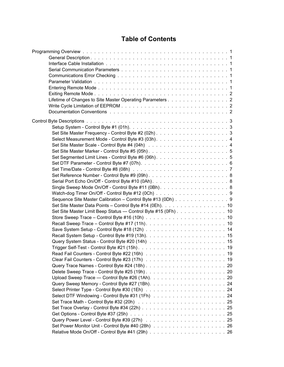# **Table of Contents**

| Lifetime of Changes to Site Master Operating Parameters 2     |  |
|---------------------------------------------------------------|--|
|                                                               |  |
|                                                               |  |
|                                                               |  |
|                                                               |  |
|                                                               |  |
|                                                               |  |
|                                                               |  |
|                                                               |  |
|                                                               |  |
|                                                               |  |
|                                                               |  |
|                                                               |  |
|                                                               |  |
| Single Sweep Mode On/Off - Control Byte #11 (0Bh). 8          |  |
|                                                               |  |
| Sequence Site Master Calibration - Control Byte #13 (0Dh) 9   |  |
| Set Site Master Data Points - Control Byte #14 (0Eh). 10      |  |
| Set Site Master Limit Beep Status - Control Byte #15 (0Fh) 10 |  |
|                                                               |  |
|                                                               |  |
|                                                               |  |
|                                                               |  |
|                                                               |  |
|                                                               |  |
|                                                               |  |
|                                                               |  |
|                                                               |  |
|                                                               |  |
|                                                               |  |
|                                                               |  |
|                                                               |  |
|                                                               |  |
|                                                               |  |
|                                                               |  |
|                                                               |  |
|                                                               |  |
|                                                               |  |
|                                                               |  |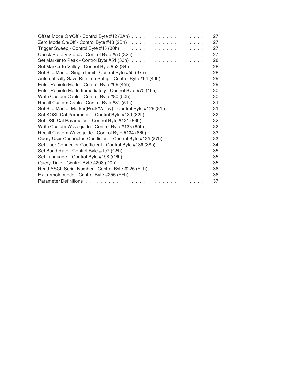| Set Site Master Single Limit - Control Byte #55 (37h) 28          |  |
|-------------------------------------------------------------------|--|
| Automatically Save Runtime Setup - Control Byte #64 (40h) 29      |  |
|                                                                   |  |
| Enter Remote Mode Immediately - Control Byte #70 (46h) 30         |  |
|                                                                   |  |
|                                                                   |  |
| Set Site Master Marker(Peak/Valley) - Control Byte #129 (81h). 31 |  |
| Set SOSL Cal Parameter - Control Byte #130 (82h) 32               |  |
|                                                                   |  |
| Write Custom Waveguide - Control Byte #133 (85h) 32               |  |
| Recall Custom Waveguide - Control Byte #134 (86h) 33              |  |
| Query User Connector_Coefficient - Control Byte #135 (87h). 33    |  |
| Set User Connector Coefficient - Control Byte #136 (88h) 34       |  |
|                                                                   |  |
|                                                                   |  |
|                                                                   |  |
| Read ASCII Serial Number - Control Byte #225 (E1h). 36            |  |
|                                                                   |  |
|                                                                   |  |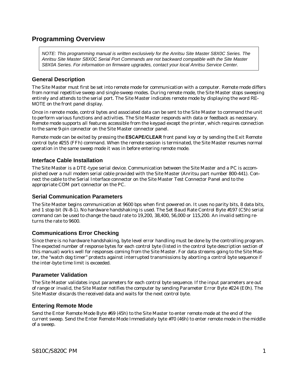# <span id="page-4-0"></span>**Programming Overview**

NOTE: This programming manual is written exclusively for the Anritsu Site Master S8X0C Series. The Anritsu Site Master S8X0C Serial Port Commands are not backward compatible with the Site Master S8X0A Series. For information on firmware upgrades, contact your local Anritsu Service Center.

# **General Description**

The Site Master must first be set into remote mode for communication with a computer. Remote mode differs from normal repetitive sweep and single-sweep modes. During remote mode, the Site Master stops sweeping entirely and attends to the serial port. The Site Master indicates remote mode by displaying the word RE-MOTE on the front panel display.

Once in remote mode, control bytes and associated data can be sent to the Site Master to command the unit to perform various functions and activities. The Site Master responds with data or feedback as necessary. Remote mode supports all features accessible from the keypad except the printer, which requires connection to the same 9-pin connector on the Site Master connector panel.

Remote mode can be exited by pressing the **ESCAPE/CLEAR** front panel key or by sending the Exit Remote control byte #255 (FFh) command. When the remote session is terminated, the Site Master resumes normal operation in the same sweep mode it was in before entering remote mode.

# **Interface Cable Installation**

The Site Master is a DTE-type serial device. Communication between the Site Master and a PC is accomplished over a null modem serial cable provided with the Site Master (Anritsu part number 800-441). Connect the cable to the Serial Interface connector on the Site Master Test Connector Panel and to the appropriate COM port connector on the PC.

# **Serial Communication Parameters**

The Site Master begins communication at 9600 bps when first powered on. It uses no parity bits, 8 data bits, and 1 stop bit (N-8-1). No hardware handshaking is used. The Set Baud Rate Control Byte #197 (C5h) serial command can be used to change the baud rate to 19,200, 38,400, 56,000 or 115,200. An invalid setting returns the rate to 9600.

# **Communications Error Checking**

Since there is no hardware handshaking, byte level error handling must be done by the controlling program. The expected number of response bytes for each control byte (listed in the control byte description section of this manual) works well for responses coming from the Site Master. For data streams going to the Site Master, the "watch dog timer" protects against interrupted transmissions by aborting a control byte sequence if the inter-byte time limit is exceeded.

# **Parameter Validation**

The Site Master validates input parameters for each control byte sequence. If the input parameters are out of range or invalid, the Site Master notifies the computer by sending Parameter Error Byte #224 (E0h). The Site Master discards the received data and waits for the next control byte.

# **Entering Remote Mode**

Send the Enter Remote Mode Byte #69 (45h) to the Site Master to enter remote mode at the end of the current sweep. Send the Enter Remote Mode Immediately byte #70 (46h) to enter remote mode in the middle of a sweep.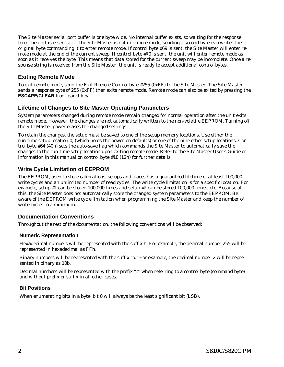<span id="page-5-0"></span>The Site Master serial port buffer is one byte wide. No internal buffer exists, so waiting for the response from the unit is essential. If the Site Master is not in remote mode, sending a second byte overwrites the original byte commanding it to enter remote mode. If control byte #69 is sent, the Site Master will enter remote mode at the end of the current sweep. If control byte #70 is sent, the unit will enter remote mode as soon as it receives the byte. This means that data stored for the current sweep may be incomplete. Once a response string is received from the Site Master, the unit is ready to accept additional control bytes.

# **Exiting Remote Mode**

To exit remote mode, send the Exit Remote Control byte #255 (0xFF) to the Site Master. The Site Master sends a response byte of 255 (0xFF) then exits remote mode. Remote mode can also be exited by pressing the **ESCAPE/CLEAR** front panel key.

# **Lifetime of Changes to Site Master Operating Parameters**

System parameters changed during remote mode remain changed for normal operation after the unit exits remote mode. However, the changes are not automatically written to the non-volatile EEPROM. Turning off the Site Master power erases the changed settings.

To retain the changes, the setup must be saved to one of the setup memory locations. Use either the run-time setup location 0, (which holds the power-on defaults) or one of the nine other setup locations. Control byte #64 (40h) sets the auto-save flag which commands the Site Master to automatically save the changes to the run-time setup location upon exiting remote mode. Refer to the Site Master User's Guide or information in this manual on control byte #18 (12h) for further details.

# **Write Cycle Limitation of EEPROM**

The EEPROM, used to store calibrations, setups and traces has a guaranteed lifetime of at least 100,000 write cycles and an unlimited number of read cycles. The write cycle limitation is for a specific location. For example, setup #1 can be stored 100,000 times and setup #2 can be stored 100,000 times, etc. Because of this, the Site Master does not automatically store the changed system parameters to the EEPROM. Be aware of the EEPROM write cycle limitation when programming the Site Master and keep the number of write cycles to a minimum.

# **Documentation Conventions**

Throughout the rest of the documentation, the following conventions will be observed:

# **Numeric Representation**

Hexadecimal numbers will be represented with the suffix h. For example, the decimal number 255 will be represented in hexadecimal as FFh.

Binary numbers will be represented with the suffix "b." For example, the decimal number 2 will be represented in binary as 10b.

Decimal numbers will be represented with the prefix "#" when referring to a control byte (command byte) and without prefix or suffix in all other cases.

# **Bit Positions**

When enumerating bits in a byte, bit 0 will always be the least significant bit (LSB).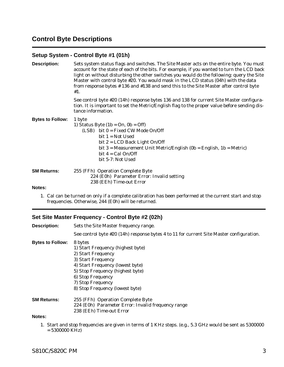# <span id="page-6-0"></span>**Control Byte Descriptions**

# **Setup System - Control Byte #1 (01h)**

| <b>Description:</b>     | Sets system status flags and switches. The Site Master acts on the entire byte. You must<br>account for the state of each of the bits. For example, if you wanted to turn the LCD back<br>light on without disturbing the other switches you would do the following: query the Site<br>Master with control byte #20. You would mask in the LCD status (04h) with the data<br>from response bytes #136 and #138 and send this to the Site Master after control byte<br>#1. |
|-------------------------|---------------------------------------------------------------------------------------------------------------------------------------------------------------------------------------------------------------------------------------------------------------------------------------------------------------------------------------------------------------------------------------------------------------------------------------------------------------------------|
|                         | See control byte #20 (14h) response bytes 136 and 138 for current Site Master configura-<br>tion. It is important to set the Metric/English flag to the proper value before sending dis-<br>tance information.                                                                                                                                                                                                                                                            |
| <b>Bytes to Follow:</b> | 1 byte<br>1) Status Byte $(1b = On, 0b = Off)$<br>$(LSB)$ bit $0 = Fixed CW Mode On/Off$<br>$bit 1 = Not Used$<br>bit $2 = LCD$ Back Light On/Off<br>bit 3 = Measurement Unit Metric/English (0b = English, 1b = Metric)<br>bit $4 =$ Cal On/Off<br>bit 5-7: Not Used                                                                                                                                                                                                     |
| <b>SM Returns:</b>      | 255 (FFh) Operation Complete Byte<br>224 (E0h) Parameter Error: Invalid setting<br>238 (EEh) Time-out Error                                                                                                                                                                                                                                                                                                                                                               |
| Notes:                  |                                                                                                                                                                                                                                                                                                                                                                                                                                                                           |

1. Cal can be turned on only if a complete calibration has been performed at the current start and stop frequencies. Otherwise, 244 (E0h) will be returned.

# **Set Site Master Frequency - Control Byte #2 (02h)**

| <b>Description:</b>     | Sets the Site Master frequency range.                                                                                                                                                                                                         |  |
|-------------------------|-----------------------------------------------------------------------------------------------------------------------------------------------------------------------------------------------------------------------------------------------|--|
|                         | See control byte #20 (14h) response bytes 4 to 11 for current Site Master configuration.                                                                                                                                                      |  |
| <b>Bytes to Follow:</b> | 8 bytes<br>1) Start Frequency (highest byte)<br>2) Start Frequency<br>3) Start Frequency<br>4) Start Frequency (lowest byte)<br>5) Stop Frequency (highest byte)<br>6) Stop Frequency<br>7) Stop Frequency<br>8) Stop Frequency (lowest byte) |  |
| <b>SM Returns:</b>      | 255 (FFh) Operation Complete Byte<br>224 (E0h) Parameter Error: Invalid frequency range<br>238 (EEh) Time-out Error                                                                                                                           |  |
| Notes:                  |                                                                                                                                                                                                                                               |  |

1. Start and stop frequencies are given in terms of 1 KHz steps. (e.g., 5.3 GHz would be sent as 5300000 = 5300000 KHz)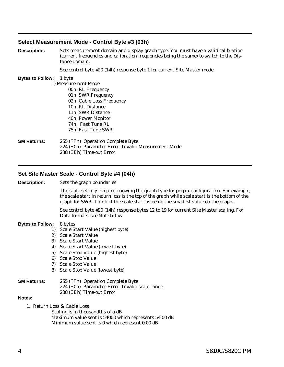# <span id="page-7-0"></span>**Select Measurement Mode - Control Byte #3 (03h)**

**Description:** Sets measurement domain and display graph type. You must have a valid calibration (current frequencies and calibration frequencies being the same) to switch to the Distance domain.

See control byte #20 (14h) response byte 1 for current Site Master mode.

### **Bytes to Follow:** 1 byte

1) Measurement Mode 00h: RL Frequency 01h: SWR Frequency 02h: Cable Loss Frequency 10h: RL Distance 11h: SWR Distance 40h: Power Monitor 74h: Fast Tune RL 75h: Fast Tune SWR

### **SM Returns:** 255 (FFh) Operation Complete Byte 224 (E0h) Parameter Error: Invalid Measurement Mode 238 (EEh) Time-out Error

# **Set Site Master Scale - Control Byte #4 (04h)**

**Description:** Sets the graph boundaries.

The scale settings require knowing the graph type for proper configuration. For example, the scale start in return loss is the top of the graph while scale start is the bottom of the graph for SWR. Think of the scale start as being the smallest value on the graph.

See control byte #20 (14h) response bytes 12 to 19 for current Site Master scaling. For Data formats' see Note below.

### **Bytes to Follow:** 8 bytes

- 1) Scale Start Value (highest byte)
- 2) Scale Start Value
- 3) Scale Start Value
- 4) Scale Start Value (lowest byte)
- 5) Scale Stop Value (highest byte)
- 6) Scale Stop Value
- 7) Scale Stop Value
- 8) Scale Stop Value (lowest byte)

### **SM Returns:** 255 (FFh) Operation Complete Byte 224 (E0h) Parameter Error: Invalid scale range 238 (EEh) Time-out Error

### **Notes:**

1. Return Loss & Cable Loss

Scaling is in thousandths of a dB Maximum value sent is 54000 which represents 54.00 dB Minimum value sent is 0 which represent 0.00 dB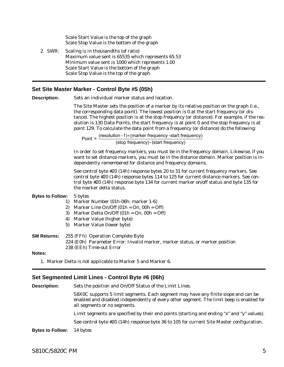<span id="page-8-0"></span>Scale Start Value is the top of the graph Scale Stop Value is the bottom of the graph

2. SWR: Scaling is in thousandths (of ratio) Maximum value sent is 65535 which represents 65.53 Minimum value sent is 1000 which represents 1.00 Scale Start Value is the bottom of the graph Scale Stop Value is the top of the graph

# **Set Site Master Marker - Control Byte #5 (05h)**

**Description:** Sets an individual marker status and location.

The Site Master sets the position of a marker by its relative position on the graph (i.e., the corresponding data point). The lowest position is 0 at the start frequency (or distance). The highest position is at the stop frequency (or distance). For example, if the resolution is 130 Data Points, the start frequency is at point 0 and the stop frequency is at point 129. To calculate the data point from a frequency (or distance) do the following:

Point = (resolution -1) (marker frequency -start frequ ency) (stop frequency) - (start frequency)

In order to set frequency markers, you must be in the frequency domain. Likewise, if you want to set distance markers, you must be in the distance domain. Marker position is independently remembered for distance and frequency domains.

See control byte #20 (14h) response bytes 20 to 31 for current frequency markers. See control byte #20 (14h) response bytes 114 to 125 for current distance markers. See control byte #20 (14h) response byte 134 for current marker on/off status and byte 135 for the marker delta status.

## **Bytes to Follow:** 5 bytes

- 1) Marker Number (01h-06h: marker 1-6)
- 2) Marker Line On/Off  $(01h = On, 00h = Off)$
- 3) Marker Delta On/Off  $(01h = On, 00h = Off)$
- 4) Marker Value (higher byte)
- 5) Marker Value (lower byte)

# **SM Returns:** 255 (FFh) Operation Complete Byte 224 (E0h) Parameter Error: Invalid marker, marker status, or marker position 238 (EEh) Time-out Error

**Notes:**

1. Marker Delta is not applicable to Marker 5 and Marker 6.

# **Set Segmented Limit Lines - Control Byte #6 (06h)**

**Description:** Sets the position and On/Off Status of the Limit Lines.

S8X0C supports 5 limit segments. Each segment may have any finite slope and can be enabled and disabled independently of every other segment. The limit beep is enabled for all segments or no segments.

Limit segments are specified by their end points (starting and ending "x" and "y" values).

See control byte #20 (14h) response byte 36 to 105 for current Site Master configuration.

**Bytes to Follow:** 14 bytes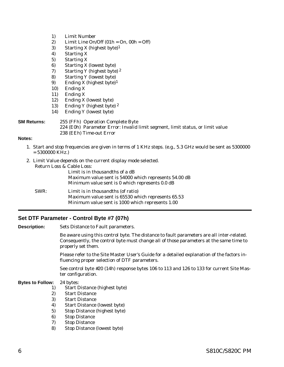- <span id="page-9-0"></span>1) Limit Number
- 2) Limit Line On/Off  $(01h = On, 00h = Off)$
- 3) Starting X (highest byte)1
- 4) Starting X
- 5) Starting X
- 6) Starting X (lowest byte)
- 7) Starting Y (highest byte) 2
- 8) Starting Y (lowest byte)
- 9) Ending X (highest byte)1
- 10) Ending X
- 11) Ending X
- 12) Ending X (lowest byte)
- 13) Ending Y (highest byte) 2
- 14) Ending Y (lowest byte)

# **SM Returns:** 255 (FFh) Operation Complete Byte 224 (E0h) Parameter Error: Invalid limit segment, limit status, or limit value 238 (EEh) Time-out Error

### **Notes:**

- 1. Start and stop frequencies are given in terms of 1 KHz steps. (e.g., 5.3 GHz would be sent as 5300000  $= 5300000$  KHz.)
- 2. Limit Value depends on the current display mode selected. Return Loss & Cable Loss:

|      | Limit is in thousandths of a dB<br>Maximum value sent is 54000 which represents 54.00 dB<br>Minimum value sent is 0 which represents 0.0 dB   |
|------|-----------------------------------------------------------------------------------------------------------------------------------------------|
| SWR: | Limit is in thousand the (of ratio)<br>Maximum value sent is 65530 which represents 65.53<br>Minimum value sent is 1000 which represents 1.00 |

# **Set DTF Parameter - Control Byte #7 (07h)**

**Description:** Sets Distance to Fault parameters.

Be aware using this control byte. The distance to fault parameters are all inter-related. Consequently, the control byte must change all of those parameters at the same time to properly set them.

Please refer to the Site Master User's Guide for a detailed explanation of the factors influencing proper selection of DTF parameters.

See control byte #20 (14h) response bytes 106 to 113 and 126 to 133 for current Site Master configuration.

### **Bytes to Follow:** 24 bytes:

- 1) Start Distance (highest byte)
- 2) Start Distance
- 3) Start Distance
- 4) Start Distance (lowest byte)
- 5) Stop Distance (highest byte)
- 6) Stop Distance
- 7) Stop Distance
- 8) Stop Distance (lowest byte)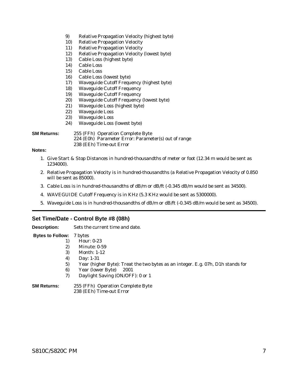- <span id="page-10-0"></span>9) Relative Propagation Velocity (highest byte)
- 10) Relative Propagation Velocity
- 11) Relative Propagation Velocity
- 12) Relative Propagation Velocity (lowest byte)
- 13) Cable Loss (highest byte)
- 14) Cable Loss
- 15) Cable Loss
- 16) Cable Loss (lowest byte)
- 17) Waveguide Cutoff Frequency (highest byte)
- 18) Waveguide Cutoff Frequency
- 19) Waveguide Cutoff Frequency
- 20) Waveguide Cutoff Frequency (lowest byte)
- 21) Waveguide Loss (highest byte)
- 22) Waveguide Loss
- 23) Waveguide Loss
- 24) Waveguide Loss (lowest byte)

**SM Returns:** 255 (FFh) Operation Complete Byte

- 224 (E0h) Parameter Error: Parameter(s) out of range
- 238 (EEh) Time-out Error

# **Notes:**

- 1. Give Start & Stop Distances in hundred-thousandths of meter or foot (12.34 m would be sent as 1234000).
- 2. Relative Propagation Velocity is in hundred-thousandths (a Relative Propagation Velocity of 0.850 will be sent as 85000).
- 3. Cable Loss is in hundred-thousandths of dB/m or dB/ft (-0.345 dB/m would be sent as 34500).
- 4. WAVEGUIDE Cutoff Frequency is in KHz (5.3 KHz would be sent as 5300000).
- 5. Waveguide Loss is in hundred-thousandths of dB/m or dB/ft (-0.345 dB/m would be sent as 34500).

# **Set Time/Date - Control Byte #8 (08h)**

**Description:** Sets the current time and date.

- **Bytes to Follow:** 7 bytes
	- 1) Hour: 0-23
	- 2) Minute: 0-59
	- 3) Month: 1-12
	- 4) Day: 1-31
	- 5) Year (higher Byte): Treat the two bytes as an integer. E.g. 07h, D1h stands for
	- 6) Year (lower Byte) 2001
	- 7) Daylight Saving (ON/OFF): 0 or 1
- **SM Returns:** 255 (FFh) Operation Complete Byte 238 (EEh) Time-out Error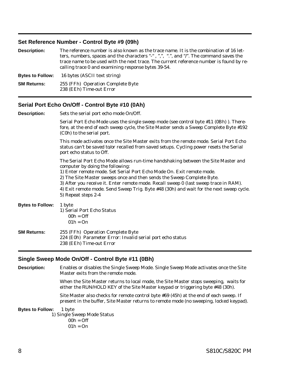# <span id="page-11-0"></span>**Set Reference Number - Control Byte #9 (09h)**

| <b>Description:</b>     | The reference number is also known as the trace name. It is the combination of 16 let-<br>ters, numbers, spaces and the characters "-", ",", ".", and "/". The command saves the<br>trace name to be used with the next trace. The current reference number is found by re-<br>calling trace 0 and examining response bytes 39-54. |
|-------------------------|------------------------------------------------------------------------------------------------------------------------------------------------------------------------------------------------------------------------------------------------------------------------------------------------------------------------------------|
| <b>Bytes to Follow:</b> | 16 bytes (ASCII text string)                                                                                                                                                                                                                                                                                                       |
| <b>SM Returns:</b>      | 255 (FFh) Operation Complete Byte<br>238 (EEh) Time-out Error                                                                                                                                                                                                                                                                      |

# **Serial Port Echo On/Off - Control Byte #10 (0Ah)**

| <b>Description:</b>     | Sets the serial port echo mode On/Off.                                                                                                                                                                                                                                                                                                                                                                                                                                              |
|-------------------------|-------------------------------------------------------------------------------------------------------------------------------------------------------------------------------------------------------------------------------------------------------------------------------------------------------------------------------------------------------------------------------------------------------------------------------------------------------------------------------------|
|                         | Serial Port Echo Mode uses the single sweep mode (see control byte #11 (0Bh)). There-<br>fore, at the end of each sweep cycle, the Site Master sends a Sweep Complete Byte #192<br>(C0h) to the serial port.                                                                                                                                                                                                                                                                        |
|                         | This mode activates once the Site Master exits from the remote mode. Serial Port Echo<br>status can't be saved to/or recalled from saved setups. Cycling power resets the Serial<br>port echo status to Off.                                                                                                                                                                                                                                                                        |
|                         | The Serial Port Echo Mode allows run-time handshaking between the Site Master and<br>computer by doing the following:<br>1) Enter remote mode. Set Serial Port Echo Mode On. Exit remote mode.<br>2) The Site Master sweeps once and then sends the Sweep Complete Byte.<br>3) After you receive it. Enter remote mode. Recall sweep 0 (last sweep trace in RAM).<br>4) Exit remote mode. Send Sweep Trig. Byte #48 (30h) and wait for the next sweep cycle.<br>5) Repeat steps 2-4 |
| <b>Bytes to Follow:</b> | 1 byte<br>1) Serial Port Echo Status<br>$00h = Off$<br>$01h = On$                                                                                                                                                                                                                                                                                                                                                                                                                   |
| <b>SM Returns:</b>      | 255 (FFh) Operation Complete Byte<br>224 (E0h) Parameter Error: Invalid serial port echo status<br>238 (EEh) Time-out Error                                                                                                                                                                                                                                                                                                                                                         |

# **Single Sweep Mode On/Off - Control Byte #11 (0Bh)**

**Description:** Enables or disables the Single Sweep Mode. Single Sweep Mode activates once the Site Master exits from the remote mode.

> When the Site Master returns to local mode, the Site Master stops sweeping, waits for either the RUN/HOLD KEY of the Site Master keypad or triggering byte #48 (30h).

Site Master also checks for remote control byte #69 (45h) at the end of each sweep. If present in the buffer, Site Master returns to remote mode (no sweeping, locked keypad).

### **Bytes to Follow:** 1 byte

1) Single Sweep Mode Status

 $00h =$ Off  $01h = On$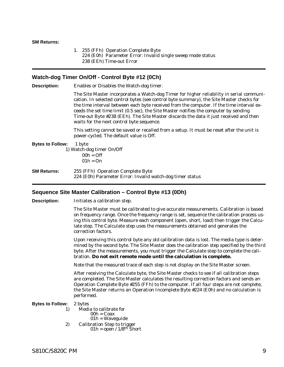### <span id="page-12-0"></span>**SM Returns:**

1. 255 (FFh) Operation Complete Byte 224 (E0h) Parameter Error: Invalid single sweep mode status 238 (EEh) Time-out Error

## **Watch-dog Timer On/Off - Control Byte #12 (0Ch)**

**Description:** Enables or Disables the Watch-dog timer.

The Site Master incorporates a Watch-dog Timer for higher reliability in serial communication. In selected control bytes (see control byte summary), the Site Master checks for the time interval between each byte received from the computer. If the time interval exceeds the set time limit (0.5 sec), the Site Master notifies the computer by sending Time-out Byte #238 (EEh). The Site Master discards the data it just received and then waits for the next control byte sequence.

This setting cannot be saved or recalled from a setup. It must be reset after the unit is power-cycled. The default value is Off.

**Bytes to Follow:** 1 byte 1) Watch-dog timer On/Off  $00h = Off$  $01h = On$ **SM Returns:** 255 (FFh) Operation Complete Byte 224 (E0h) Parameter Error: Invalid watch-dog timer status

## **Sequence Site Master Calibration – Control Byte #13 (0Dh)**

**Description:** Initiates a calibration step.

The Site Master must be calibrated to give accurate measurements. Calibration is based on frequency range. Once the frequency range is set, sequence the calibration process using this control byte. Measure each component (open, short, load) then trigger the Calculate step. The Calculate step uses the measurements obtained and generates the correction factors.

Upon receiving this control byte any old calibration data is lost. The media type is determined by the second byte. The Site Master does the calibration step specified by the third byte. After the measurements, you must trigger the Calculate step to complete the calibration. **Do not exit remote mode until the calculation is complete.**

Note that the measured trace of each step is not display on the Site Master screen.

After receiving the Calculate byte, the Site Master checks to see if all calibration steps are completed. The Site Master calculates the resulting correction factors and sends an Operation Complete Byte #255 (FFh) to the computer. If all four steps are not complete, the Site Master returns an Operation Incomplete Byte #224 (E0h) and no calculation is performed.

**Bytes to Follow:** 2 bytes

- 1) Media to calibrate for
	- $00h = \text{Coax}$
	- 01h = Waveguide
- 2) Calibration Step to trigger  $01h =$  open /  $1/8$ <sup>th</sup> Short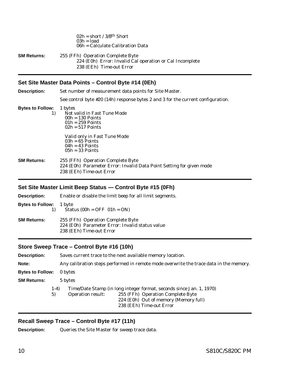|                    | $U\angle\Omega =$ Snort / $3/8$ <sup><math>\text{u}</math></sup> Snort<br>$03h = load$<br>06h = Calculate Calibration Data |
|--------------------|----------------------------------------------------------------------------------------------------------------------------|
| <b>SM Returns:</b> | 255 (FFh) Operation Complete Byte<br>224 (E0h) Error: Invalid Cal operation or Cal Incomplete<br>238 (EEh) Time-out Error  |

<span id="page-13-0"></span> $0.01$   $1.4/0.01h$   $0.1$ 

# **Set Site Master Data Points – Control Byte #14 (0Eh)**

| <b>Description:</b>           | Set number of measurement data points for Site Master.                                                                                |
|-------------------------------|---------------------------------------------------------------------------------------------------------------------------------------|
|                               | See control byte $#20$ (14h) response bytes 2 and 3 for the current configuration.                                                    |
| <b>Bytes to Follow:</b><br>1) | 1 bytes<br>Not valid in Fast Tune Mode<br>$00h = 130$ Points<br>$01h = 259$ Points<br>$02h = 517$ Points                              |
|                               | Valid only in Fast Tune Mode<br>$03h = 65$ Points<br>$04h = 43$ Points<br>$05h = 33$ Points                                           |
| <b>SM Returns:</b>            | 255 (FFh) Operation Complete Byte<br>224 (E0h) Parameter Error: Invalid Data Point Setting for given mode<br>238 (EEh) Time-out Error |

# **Set Site Master Limit Beep Status — Control Byte #15 (0Fh)**

| <b>Description:</b>            | Enable or disable the limit beep for all limit segments.                                                         |
|--------------------------------|------------------------------------------------------------------------------------------------------------------|
| <b>Bytes to Follow:</b> 1 byte | Status $(00h = OFF 01h = ON)$                                                                                    |
| <b>SM Returns:</b>             | 255 (FFh) Operation Complete Byte<br>224 (E0h) Parameter Error: Invalid status value<br>238 (EEh) Time-out Error |

# **Store Sweep Trace – Control Byte #16 (10h)**

**Description:** Saves current trace to the next available memory location. **Note:** Any calibration steps performed in remote mode overwrite the trace data in the memory. **Bytes to Follow:** 0 bytes **SM Returns:** 5 bytes 1-4) Time/Date Stamp (in long integer format, seconds since Jan. 1, 1970) 5) Operation result: 255 (FFh) Operation Complete Byte 224 (E0h) Out of memory (Memory full) 238 (EEh) Time-out Error

# **Recall Sweep Trace – Control Byte #17 (11h)**

**Description:** Queries the Site Master for sweep trace data.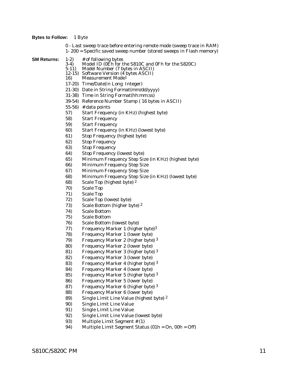### **Bytes to Follow:** 1 Byte

0 - Last sweep trace before entering remote mode (sweep trace in RAM)

1- 200 = Specific saved sweep number (stored sweeps in Flash memory)

- **SM Returns:** 1-2) # of following bytes<br>3-4) Model ID (0Eh for t
	- 3-4) Model ID (0Eh for the S810C and 0Fh for the S820C)<br>5-11) Model Number (7 bytes in ASCII)
	- 5-11) Model Number (7 bytes in ASCII)
	- 12-15) Software Version (4 bytes ASCII)
	- 16) Measurement Mode1
	- 17-20) Time/Date(in Long Integer)
	- 21-30) Date in String Format(mm/dd/yyyy)
	- 31-38) Time in String Format(hh:mm:ss)
	- 39-54) Reference Number Stamp ( 16 bytes in ASCII)
	- 55-56) # data points
	- 57) Start Frequency (in KHz) (highest byte)
	- 58) Start Frequency
	- 59) Start Frequency
	- 60) Start Frequency (in KHz) (lowest byte)
	- 61) Stop Frequency (highest byte)
	- 62) Stop Frequency
	- 63) Stop Frequency
	- 64) Stop Frequency (lowest byte)
	- 65) Minimum Frequency Step Size (in KHz) (highest byte)
	- 66) Minimum Frequency Step Size
	- 67) Minimum Frequency Step Size
	- 68) Minimum Frequency Step Size (in KHz) (lowest byte)
	- 68) Scale Top (highest byte) 2
	- 70) Scale Top
	- 71) Scale Top
	- 72) Scale Top (lowest byte)
	- 73) Scale Bottom (higher byte) 2
	- 74) Scale Bottom
	- 75) Scale Bottom
	- 76) Scale Bottom (lowest byte)
	- 77) Frequency Marker 1 (higher byte)3
	- 78) Frequency Marker 1 (lower byte)
	- 79) Frequency Marker 2 (higher byte) 3
	- 80) Frequency Marker 2 (lower byte)
	- 81) Frequency Marker 3 (higher byte) 3
	- 82) Frequency Marker 3 (lower byte)
	- 83) Frequency Marker 4 (higher byte) 3
	- 84) Frequency Marker 4 (lower byte)
	- 85) Frequency Marker 5 (higher byte) 3
	- 86) Frequency Marker 5 (lower byte)
	- 87) Frequency Marker 6 (higher byte) 3
	- 88) Frequency Marker 6 (lower byte)
	- 89) Single Limit Line Value (highest byte) 2
	- 90) Single Limit Line Value
	- 91) Single Limit Line Value
	- 92) Single Limit Line Value (lowest byte)
	- 93) Multiple Limit Segment # (1)
	- 94) Multiple Limit Segment Status (01h = On, 00h = Off)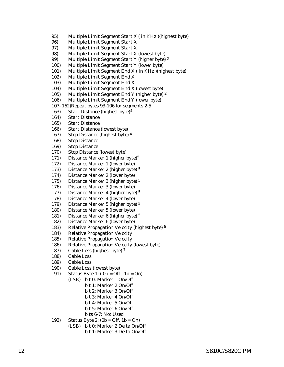- 95) Multiple Limit Segment Start X ( in KHz )(highest byte)
- 96) Multiple Limit Segment Start X
- 97) Multiple Limit Segment Start X
- 98) Multiple Limit Segment Start X (lowest byte)
- 99) Multiple Limit Segment Start Y (higher byte) 2
- 100) Multiple Limit Segment Start Y (lower byte)
- 101) Multiple Limit Segment End X ( in KHz )(highest byte)
- 102) Multiple Limit Segment End X
- 103) Multiple Limit Segment End X
- 104) Multiple Limit Segment End X (lowest byte)
- 105) Multiple Limit Segment End Y (higher byte) 2
- 106) Multiple Limit Segment End Y (lower byte)
- 107–162)Repeat bytes 93-106 for segments 2-5
- 163) Start Distance (highest byte)4
- 164) Start Distance
- 165) Start Distance
- 166) Start Distance (lowest byte)
- 167) Stop Distance (highest byte) 4
- 168) Stop Distance
- 169) Stop Distance
- 170) Stop Distance (lowest byte)
- 171) Distance Marker 1 (higher byte)5
- 172) Distance Marker 1 (lower byte)
- 173) Distance Marker 2 (higher byte) 5
- 174) Distance Marker 2 (lower byte)
- 175) Distance Marker 3 (higher byte) 5
- 176) Distance Marker 3 (lower byte)
- 177) Distance Marker 4 (higher byte) 5
- 178) Distance Marker 4 (lower byte)
- 179) Distance Marker 5 (higher byte) 5
- 180) Distance Marker 5 (lower byte)
- 181) Distance Marker 6 (higher byte) 5
- 182) Distance Marker 6 (lower byte)
- 183) Relative Propagation Velocity (highest byte) 6
- 184) Relative Propagation Velocity
- 185) Relative Propagation Velocity
- 186) Relative Propagation Velocity (lowest byte)
- 187) Cable Loss (highest byte) 7
- 188) Cable Loss
- 189) Cable Loss
- 190) Cable Loss (lowest byte)
- 191) Status Byte 1: ( 0b = Off , 1b = On)
	- (LSB) bit 0: Marker 1 On/Off bit 1: Marker 2 On/Off bit 2: Marker 3 On/Off
		- bit 3: Marker 4 On/Off
		- bit 4: Marker 5 On/Off
		- bit 5: Marker 6 On/Off
			- bits 6-7: Not Used
- 192) Status Byte 2: (0b = Off, 1b = On)
	- (LSB) bit 0: Marker 2 Delta On/Off bit 1: Marker 3 Delta On/Off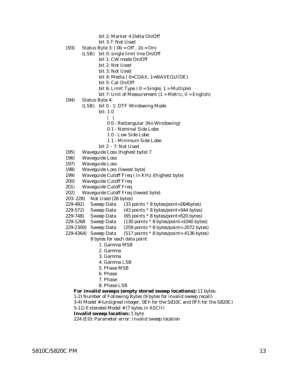bit 2: Marker 4 Delta On/Off

bit 3-7: Not Used

- 193) Status Byte 3: ( 0b = Off , 1b = On)
	- (LSB) bit 0: single limit line On/Off
		- bit 1: CW mode On/Off
		- bit 2: Not Used
		- bit 3: Not Used
		- bit 4: Media ( 0=COAX, 1=WAVEGUIDE)
		- bit 5: Cal On/Off
		- bit 6: Limit Type  $(0 = Single; 1 = Multiple)$
		- bit 7: Unit of Measurement  $(1 = Metric, 0 = English)$
- 194) Status Byte 4:
	- (LSB) bit 0 1: DTF Windowing Mode
		- bit: 1 0
			- $\vert \ \vert$
			- 0 0 Rectangular (No Windowing)
			- 0 1 Nominal Side Lobe
			- 1 0 Low Side Lobe
			- 1 1 Minimum Side Lobe
		- bit 2 7: Not Used
- 195) Waveguide Loss (highest byte) 7
- 196) Waveguide Loss
- 197) Waveguide Loss
- 198) Waveguide Loss (lowest byte)
- 199) Waveguide Cutoff Freq ( in KHz )(highest byte)
- 200) Waveguide Cutoff Freq
- 201) Waveguide Cutoff Freq
- 202) Waveguide Cutoff Freq (lowest byte)
- 203–228) Not Used (26 bytes)
- 229-492) Sweep Data (33 points \* 8 bytes/point=264bytes)
- 229-572) Sweep Data (43 points \* 8 bytes/point=344 bytes)
- 229-748) Sweep Data (65 points \* 8 bytes/point=520 bytes)
- 229-1268 Sweep Data (130 points \* 8 bytes/point=1040 bytes)
- 229-2300) Sweep Data (259 points \* 8 bytes/point= 2072 bytes)
- 229-4364) Sweep Data  $(517 \text{ points} * 8 \text{ bytes} / \text{point} = 4136 \text{ bytes})$ 
	- 8 bytes for each data point
		- 1. Gamma MSB
		- 2. Gamma
		- 3. Gamma
		- 4. Gamma LSB
		- 5. Phase MSB
		- 6. Phase
		- 7. Phase
		- 8. Phase LSB

# **For invalid sweeps (empty stored sweep locations):** 11 bytes.

- 1-2) Number of Following Bytes (9 bytes for invalid sweep recall)
- 3-4) Model # (unsigned integer, 0Eh for the S810C and 0Fh for the S820C)
- 5-11) Extended Model # (7 bytes in ASCII)

# **Invalid sweep location:** 1 byte

224 (E0): Parameter error: Invalid sweep location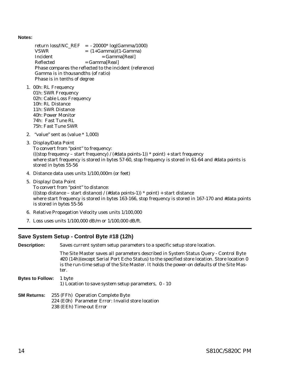<span id="page-17-0"></span>**Notes:**

return loss/INC\_REF = - 20000\* log(Gamma/1000)  $VSWR = (1+Gamma)/(1-Gamma)$  $Incident$  =  $Gamma[Real]$  $Reflected = Gamma[Real]$ Phase compares the reflected to the incident (reference) Gamma is in thousandths (of ratio) Phase is in tenths of degree

- 1. 00h: RL Frequency 01h: SWR Frequency 02h: Cable Loss Frequency 10h: RL Distance 11h: SWR Distance 40h: Power Monitor 74h: Fast Tune RL 75h: Fast Tune SWR
- 2. "value" sent as (value \* 1,000)
- 3. Display/Data Point To convert from "point" to frequency: (((stop frequency – start frequency) / (#data points-1)) \* point) + start frequency where start frequency is stored in bytes 57-60, stop frequency is stored in 61-64 and #data points is stored in bytes 55-56
- 4. Distance data uses units 1/100,000m (or feet)
- 5. Display/ Data Point

To convert from "point" to distance: (((stop distance – start distance) / (#data points-1)) \* point) + start distance where start frequency is stored in bytes 163-166, stop frequency is stored in 167-170 and #data points is stored in bytes 55-56

- 6. Relative Propagation Velocity uses units 1/100,000
- 7. Loss uses units 1/100,000 dB/m or 1/100,000 dB/ft.

# **Save System Setup - Control Byte #18 (12h)**

| <b>Description:</b>     | Saves current system setup parameters to a specific setup store location.                                                                                                                                                                                                                |
|-------------------------|------------------------------------------------------------------------------------------------------------------------------------------------------------------------------------------------------------------------------------------------------------------------------------------|
|                         | The Site Master saves all parameters described in System Status Query - Control Byte<br>#20 (14h)(except Serial Port Echo Status) to the specified store location. Store location 0<br>is the run-time setup of the Site Master. It holds the power-on defaults of the Site Mas-<br>ter. |
| <b>Bytes to Follow:</b> | 1 byte<br>1) Location to save system setup parameters, $0 - 10$                                                                                                                                                                                                                          |
| <b>SM Returns:</b>      | 255 (FFh) Operation Complete Byte<br>224 (E0h) Parameter Error: Invalid store location<br>238 (EEh) Time-out Error                                                                                                                                                                       |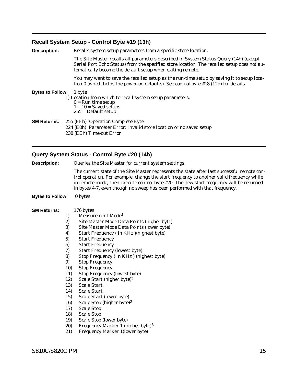# <span id="page-18-0"></span>**Recall System Setup - Control Byte #19 (13h)**

| <b>Description:</b>     | Recalls system setup parameters from a specific store location.                                                                                                                                                                                   |
|-------------------------|---------------------------------------------------------------------------------------------------------------------------------------------------------------------------------------------------------------------------------------------------|
|                         | The Site Master recalls all parameters described in System Status Query (14h) (except<br>Serial Port Echo Status) from the specified store location. The recalled setup does not au-<br>tomatically become the default setup when exiting remote. |
|                         | You may want to save the recalled setup as the run-time setup by saving it to setup loca-<br>tion 0 (which holds the power-on defaults). See control byte #18 (12h) for details.                                                                  |
| <b>Bytes to Follow:</b> | 1 byte<br>1) Location from which to recall system setup parameters:<br>$0 =$ Run time setup<br>$1 - 10$ = Saved setups<br>$255$ = Default setup                                                                                                   |
| SM Returns:             | 255 (FFh) Operation Complete Byte<br>224 (E0h) Parameter Error: Invalid store location or no saved setup<br>238 (EEh) Time-out Error                                                                                                              |

# **Query System Status - Control Byte #20 (14h)**

| <b>Description:</b>     | Queries the Site Master for current system settings.                                                                                                                                                                                                                                                                                                             |
|-------------------------|------------------------------------------------------------------------------------------------------------------------------------------------------------------------------------------------------------------------------------------------------------------------------------------------------------------------------------------------------------------|
|                         | The current state of the Site Master represents the state after last successful remote con-<br>trol operation. For example, change the start frequency to another valid frequency while<br>in remote mode, then execute control byte #20. The new start frequency will be returned<br>in bytes 4-7, even though no sweep has been performed with that frequency. |
| <b>Bytes to Follow:</b> | 0 bytes                                                                                                                                                                                                                                                                                                                                                          |
| <b>SM Returns:</b>      | 176 bytes                                                                                                                                                                                                                                                                                                                                                        |
| 1)                      | Measurement Mode <sup>1</sup>                                                                                                                                                                                                                                                                                                                                    |
| 2)                      | Site Master Mode Data Points (higher byte)                                                                                                                                                                                                                                                                                                                       |
| 3)                      | Site Master Mode Data Points (lower byte)                                                                                                                                                                                                                                                                                                                        |
| 4)                      | Start Frequency (in KHz)(highest byte)                                                                                                                                                                                                                                                                                                                           |
| 5)                      | <b>Start Frequency</b>                                                                                                                                                                                                                                                                                                                                           |
| 6)                      | <b>Start Frequency</b>                                                                                                                                                                                                                                                                                                                                           |
| 7)                      | <b>Start Frequency (lowest byte)</b>                                                                                                                                                                                                                                                                                                                             |
| 8)                      | Stop Frequency (in KHz) (highest byte)                                                                                                                                                                                                                                                                                                                           |
| 9)                      | <b>Stop Frequency</b>                                                                                                                                                                                                                                                                                                                                            |
| 10)                     | <b>Stop Frequency</b>                                                                                                                                                                                                                                                                                                                                            |
| 11)                     | <b>Stop Frequency (lowest byte)</b>                                                                                                                                                                                                                                                                                                                              |
| 12)                     | Scale Start (higher byte) <sup>2</sup>                                                                                                                                                                                                                                                                                                                           |
| 13)                     | <b>Scale Start</b>                                                                                                                                                                                                                                                                                                                                               |
| 14)                     | <b>Scale Start</b>                                                                                                                                                                                                                                                                                                                                               |
| 15)                     | Scale Start (lower byte)                                                                                                                                                                                                                                                                                                                                         |
| 16)                     | Scale Stop (higher byte) <sup>2</sup>                                                                                                                                                                                                                                                                                                                            |
| 17)                     | <b>Scale Stop</b>                                                                                                                                                                                                                                                                                                                                                |
| 18)                     | <b>Scale Stop</b>                                                                                                                                                                                                                                                                                                                                                |
| 19)                     | Scale Stop (lower byte)                                                                                                                                                                                                                                                                                                                                          |
| 20)                     | Frequency Marker 1 (higher byte) <sup>3</sup>                                                                                                                                                                                                                                                                                                                    |
| 21)                     | <b>Frequency Marker 1 (lower byte)</b>                                                                                                                                                                                                                                                                                                                           |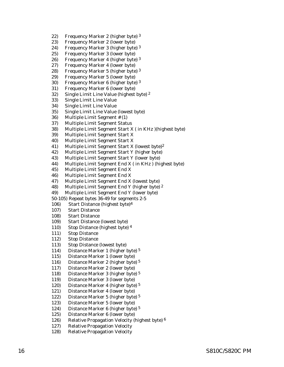- 22) Frequency Marker 2 (higher byte) 3
- 23) Frequency Marker 2 (lower byte)
- 24) Frequency Marker 3 (higher byte) 3
- 25) Frequency Marker 3 (lower byte)
- 26) Frequency Marker 4 (higher byte) 3
- 27) Frequency Marker 4 (lower byte)
- 28) Frequency Marker 5 (higher byte) 3
- 29) Frequency Marker 5 (lower byte)
- 30) Frequency Marker 6 (higher byte) 3
- 31) Frequency Marker 6 (lower byte)
- 32) Single Limit Line Value (highest byte) 2
- 33) Single Limit Line Value
- 34) Single Limit Line Value
- 35) Single Limit Line Value (lowest byte)
- 36) Multiple Limit Segment # (1)
- 37) Multiple Limit Segment Status
- 38) Multiple Limit Segment Start X ( in KHz )(highest byte)
- 39) Multiple Limit Segment Start X
- 40) Multiple Limit Segment Start X
- 41) Multiple Limit Segment Start X (lowest byte)2
- 42) Multiple Limit Segment Start Y (higher byte)
- 43) Multiple Limit Segment Start Y (lower byte)
- 44) Multiple Limit Segment End X ( in KHz ) (highest byte)
- 45) Multiple Limit Segment End X
- 46) Multiple Limit Segment End X
- 47) Multiple Limit Segment End X (lowest byte)
- 48) Multiple Limit Segment End Y (higher byte) 2
- 49) Multiple Limit Segment End Y (lower byte)
- 50-105) Repeat bytes 36-49 for segments 2-5
- 106) Start Distance (highest byte)4
- 107) Start Distance
- 108) Start Distance
- 109) Start Distance (lowest byte)
- 110) Stop Distance (highest byte) 4
- 111) Stop Distance
- 112) Stop Distance
- 113) Stop Distance (lowest byte)
- 114) Distance Marker 1 (higher byte) 5
- 115) Distance Marker 1 (lower byte)
- 116) Distance Marker 2 (higher byte) 5
- 117) Distance Marker 2 (lower byte)
- 118) Distance Marker 3 (higher byte) 5
- 119) Distance Marker 3 (lower byte)
- 120) Distance Marker 4 (higher byte) 5
- 121) Distance Marker 4 (lower byte)
- 122) Distance Marker 5 (higher byte) 5
- 123) Distance Marker 5 (lower byte)
- 124) Distance Marker 6 (higher byte) 5
- 125) Distance Marker 6 (lower byte)
- 126) Relative Propagation Velocity (highest byte) 6
- 127) Relative Propagation Velocity
- 128) Relative Propagation Velocity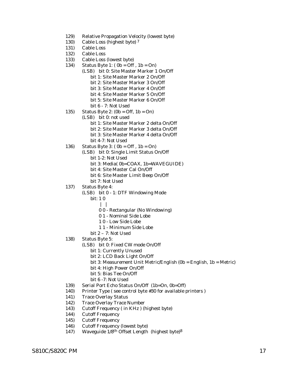- 129) Relative Propagation Velocity (lowest byte)
- 130) Cable Loss (highest byte) 7
- 131) Cable Loss
- 132) Cable Loss
- 133) Cable Loss (lowest byte)
- 134) Status Byte 1:  $(0b = \text{Off}, 1b = \text{On})$ 
	- (LSB) bit 0: Site Master Marker 1 On/Off bit 1: Site Master Marker 2 On/Off bit 2: Site Master Marker 3 On/Off bit 3: Site Master Marker 4 On/Off bit 4: Site Master Marker 5 On/Off bit 5: Site Master Marker 6 On/Off
		- bit 6 7: Not Used
- 135) Status Byte 2:  $(0b = \text{Off}, 1b = \text{On})$ (LSB) bit 0: not used bit 1: Site Master Marker 2 delta On/Off bit 2: Site Master Marker 3 delta On/Off bit 3: Site Master Marker 4 delta On/Off
	- bit 4-7: Not Used
- 136) Status Byte 3:  $(0b = \text{Off}, 1b = \text{On})$ 
	- (LSB) bit 0: Single Limit Status On/Off
		- bit 1-2: Not Used
		- bit 3: Media( 0b=COAX, 1b=WAVEGUIDE)
		- bit 4: Site Master Cal On/Off
		- bit 6: Site Master Limit Beep On/Off
		- bit 7: Not Used
- 137) Status Byte 4:
	- (LSB) bit 0 1: DTF Windowing Mode
		- bit: 1 0
			- | |
				- 0 0 Rectangular (No Windowing)
				- 0 1 Nominal Side Lobe
				- 1 0 Low Side Lobe
				- 1 1 Minimum Side Lobe
		- bit 2 7: Not Used
- 138) Status Byte 5:
	- (LSB) bit 0: Fixed CW mode On/Off
		- bit 1: Currently Unused
		- bit 2: LCD Back Light On/Off
		- bit 3: Measurement Unit Metric/English (0b = English, 1b = Metric)
		- bit 4: High Power On/Off
		- bit 5: Bias Tee On/Off
		- bit 6 -7: Not Used
- 139) Serial Port Echo Status On/Off (1b=On, 0b=Off)
- 140) Printer Type ( see control byte #30 for available printers )
- 141) Trace Overlay Status
- 142) Trace Overlay Trace Number
- 143) Cutoff Frequency ( in KHz ) (highest byte)
- 144) Cutoff Frequency
- 145) Cutoff Frequency
- 146) Cutoff Frequency (lowest byte)
- 147) Waveguide 1/8th Offset Length (highest byte)8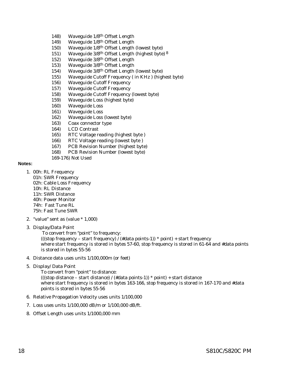- 148) Waveguide 1/8th Offset Length
- 149) Waveguide 1/8th Offset Length
- 150) Waveguide 1/8th Offset Length (lowest byte)
- 151) Waveguide 3/8th Offset Length (highest byte) 8
- 152) Waveguide 3/8th Offset Length
- 153) Waveguide 3/8th Offset Length
- 154) Waveguide 3/8th Offset Length (lowest byte)
- 155) Waveguide Cutoff Frequency ( in KHz ) (highest byte)
- 156) Waveguide Cutoff Frequency
- 157) Waveguide Cutoff Frequency
- 158) Waveguide Cutoff Frequency (lowest byte)
- 159) Waveguide Loss (highest byte)
- 160) Waveguide Loss
- 161) Waveguide Loss
- 162) Waveguide Loss (lowest byte)
- 163) Coax connector type
- 164) LCD Contrast
- 165) RTC Voltage reading (highest byte )
- 166) RTC Voltage reading (lowest byte )
- 167) PCB Revision Number (highest byte)
- 168) PCB Revision Number (lowest byte)
- 169-176) Not Used

# **Notes:**

- 1. 00h: RL Frequency
	- 01h: SWR Frequency 02h: Cable Loss Frequency 10h: RL Distance 11h: SWR Distance 40h: Power Monitor 74h: Fast Tune RL 75h: Fast Tune SWR
- 2. "value" sent as (value \* 1,000)
- 3. Display/Data Point

To convert from "point" to frequency: (((stop frequency – start frequency) / (#data points-1))  $*$  point) + start frequency where start frequency is stored in bytes 57-60, stop frequency is stored in 61-64 and #data points is stored in bytes 55-56

- 4. Distance data uses units 1/100,000m (or feet)
- 5. Display/ Data Point

To convert from "point" to distance: (((stop distance – start distance) / (#data points-1)) \* point) + start distance where start frequency is stored in bytes 163-166, stop frequency is stored in 167-170 and #data points is stored in bytes 55-56

- 6. Relative Propagation Velocity uses units 1/100,000
- 7. Loss uses units 1/100,000 dB/m or 1/100,000 dB/ft.
- 8. Offset Length uses units 1/1000,000 mm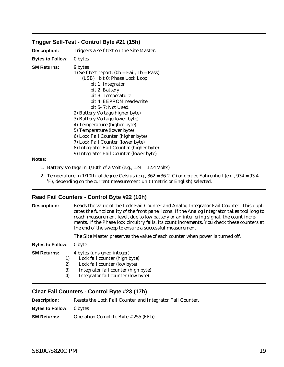# <span id="page-22-0"></span>**Trigger Self-Test - Control Byte #21 (15h)**

| <b>Description:</b>     | Triggers a self test on the Site Master.                                                                                                                                                                                                                                                                                                                                                                                                                                                                        |
|-------------------------|-----------------------------------------------------------------------------------------------------------------------------------------------------------------------------------------------------------------------------------------------------------------------------------------------------------------------------------------------------------------------------------------------------------------------------------------------------------------------------------------------------------------|
| <b>Bytes to Follow:</b> | 0 bytes                                                                                                                                                                                                                                                                                                                                                                                                                                                                                                         |
| SM Returns:             | 9 bytes<br>1) Self-test report: $(0b = Fail, 1b = Pass)$<br>(LSB) bit 0: Phase Lock Loop<br>bit 1: Integrator<br>bit 2: Battery<br>bit 3: Temperature<br>bit 4: EEPROM read/write<br>bit 5-7: Not Used.<br>2) Battery Voltage (higher byte)<br>3) Battery Voltage (lower byte)<br>4) Temperature (higher byte)<br>5) Temperature (lower byte)<br>6) Lock Fail Counter (higher byte)<br>7) Lock Fail Counter (lower byte)<br>8) Integrator Fail Counter (higher byte)<br>9) Integrator Fail Counter (lower byte) |
| . .                     |                                                                                                                                                                                                                                                                                                                                                                                                                                                                                                                 |

## **Notes:**

- 1. Battery Voltage in 1/10th of a Volt (e.g., 124 = 12.4 Volts)
- 2. Temperature in  $1/10$ th of degree Celsius (e.g.,  $362 = 36.2$  °C) or degree Fahrenheit (e.g.,  $934 = 93.4$ <sup>°</sup>F), depending on the current measurement unit (metric or English) selected.

# **Read Fail Counters - Control Byte #22 (16h)**

| <b>Description:</b>                        | Reads the value of the Lock Fail Counter and Analog Integrator Fail Counter. This dupli-<br>cates the functionality of the front panel icons. If the Analog Integrator takes tool long to<br>reach measurement level, due to low battery or an interfering signal, the count incre-<br>ments. If the Phase lock circuitry fails, its count increments. You check these counters at<br>the end of the sweep to ensure a successful measurement. |  |
|--------------------------------------------|------------------------------------------------------------------------------------------------------------------------------------------------------------------------------------------------------------------------------------------------------------------------------------------------------------------------------------------------------------------------------------------------------------------------------------------------|--|
|                                            | The Site Master preserves the value of each counter when power is turned off.                                                                                                                                                                                                                                                                                                                                                                  |  |
| <b>Bytes to Follow:</b>                    | 0 byte                                                                                                                                                                                                                                                                                                                                                                                                                                         |  |
| <b>SM Returns:</b><br>1)<br>2)<br>3)<br>4) | 4 bytes (unsigned integer)<br>Lock fail counter (high byte)<br>Lock fail counter (low byte)<br>Integrator fail counter (high byte)<br>Integrator fail counter (low byte)                                                                                                                                                                                                                                                                       |  |

# **Clear Fail Counters - Control Byte #23 (17h)**

**Description:** Resets the Lock Fail Counter and Integrator Fail Counter.

**Bytes to Follow:** 0 bytes

**SM Returns:** Operation Complete Byte # 255 (FFh)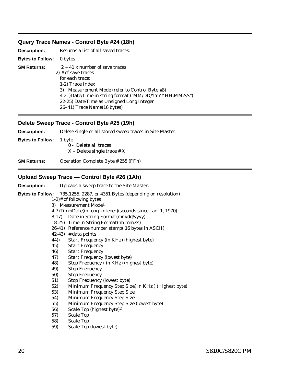# <span id="page-23-0"></span>**Query Trace Names - Control Byte #24 (18h)**

| <b>Description:</b> | Returns a list of all saved traces.                    |
|---------------------|--------------------------------------------------------|
| Bytes to Follow:    | 0 bytes                                                |
| SM Returns:         | $2 + 41$ x number of save traces                       |
|                     | $1-2$ # of save traces<br>for each trace:              |
|                     | 1-2) Trace Index                                       |
|                     | 3) Measurement Mode (refer to Control Byte #3)         |
|                     | 4-21)Date/Time in string format ("MM/DD/YYYYHH:MM:SS") |
|                     | 22-25) Date/Time as Unsigned Long Integer              |
|                     | 26–41) Trace Name(16 bytes)                            |

# **Delete Sweep Trace - Control Byte #25 (19h)**

**Description:** Delete single or all stored sweep traces in Site Master. **Bytes to Follow:** 1 byte 0 - Delete all traces  $X$  – Delete single trace  $\# X$ **SM Returns:** Operation Complete Byte # 255 (FFh) **Upload Sweep Trace — Control Byte #26 (1Ah)**

| <b>Description:</b>     |        | Uploads a sweep trace to the Site Master.                    |
|-------------------------|--------|--------------------------------------------------------------|
| <b>Bytes to Follow:</b> |        | 735,1255, 2287, or 4351 Bytes (depending on resolution)      |
|                         |        | $1-2$ )# of following bytes                                  |
|                         |        | 3) Measurement Mode <sup>1</sup>                             |
|                         |        | 4-7) Time/Date(in long integer) (seconds since Jan. 1, 1970) |
|                         | $8-17$ | Date in String Format(mm/dd/yyyy)                            |
|                         |        | 18-25) Time in String Format(hh:mm:ss)                       |
|                         |        | 26-41) Reference number stamp(16 bytes in ASCII)             |
|                         |        | $42-43$ ) # data points                                      |
|                         | 44))   | Start Frequency (in KHz) (highest byte)                      |
|                         | 45)    | <b>Start Frequency</b>                                       |
|                         | 46)    | <b>Start Frequency</b>                                       |
|                         | 47)    | <b>Start Frequency (lowest byte)</b>                         |
|                         | 48)    | Stop Frequency (in KHz) (highest byte)                       |
|                         | 49)    | <b>Stop Frequency</b>                                        |
|                         | 50)    | <b>Stop Frequency</b>                                        |
|                         | 51)    | <b>Stop Frequency (lowest byte)</b>                          |
|                         | 52)    | Minimum Frequency Step Size( in KHz) (Highest byte)          |
|                         | 53)    | <b>Minimum Frequency Step Size</b>                           |
|                         | 54)    | <b>Minimum Frequency Step Size</b>                           |
|                         | 55)    | Minimum Frequency Step Size (lowest byte)                    |
|                         | 56)    | Scale Top (highest byte) <sup>2</sup>                        |
|                         | 57)    | <b>Scale Top</b>                                             |
|                         | 58)    | <b>Scale Top</b>                                             |
|                         | 59)    | Scale Top (lowest byte)                                      |
|                         |        |                                                              |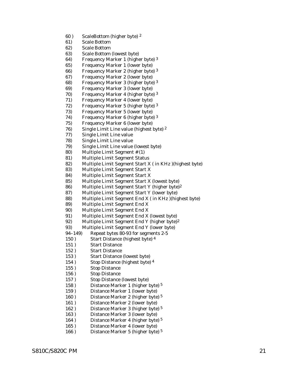- 60) ScaleBottom (higher byte)<sup>2</sup>
- 61) Scale Bottom
- 62) Scale Bottom
- 63) Scale Bottom (lowest byte)
- 64) Frequency Marker 1 (higher byte)<sup>3</sup>
- 65) Frequency Marker 1 (lower byte)
- 66) Frequency Marker 2 (higher byte) 3
- 67) Frequency Marker 2 (lower byte)
- 68) Frequency Marker 3 (higher byte) 3
- 69) Frequency Marker 3 (lower byte)
- 70) Frequency Marker 4 (higher byte) 3
- 71) Frequency Marker 4 (lower byte)
- 72) Frequency Marker 5 (higher byte) 3
- 73) Frequency Marker 5 (lower byte)
- 74) Frequency Marker 6 (higher byte) 3
- 75) Frequency Marker 6 (lower byte)
- 76) Single Limit Line value (highest byte)  $2$
- 77) Single Limit Line value
- 78) Single Limit Line value
- 79) Single Limit Line value (lowest byte)
- 80) Multiple Limit Segment # (1)
- 81) Multiple Limit Segment Status
- 82) Multiple Limit Segment Start X ( in KHz )(highest byte)
- 83) Multiple Limit Segment Start X
- 84) Multiple Limit Segment Start X
- 85) Multiple Limit Segment Start X (lowest byte)
- 86) Multiple Limit Segment Start Y (higher byte)<sup>2</sup>
- 87) Multiple Limit Segment Start Y (lower byte)
- 88) Multiple Limit Segment End X ( in KHz )(highest byte)
- 89) Multiple Limit Segment End X
- 90) Multiple Limit Segment End X
- 91) Multiple Limit Segment End X (lowest byte)
- 92) Multiple Limit Segment End Y (higher byte)<sup>2</sup>
- 93) Multiple Limit Segment End Y (lower byte)
- 94–149) Repeat bytes 80-93 for segments 2-5
- 150) Start Distance (highest byte) 4
- 151 ) Start Distance
- 152 ) Start Distance
- 153 ) Start Distance (lowest byte)
- 154) Stop Distance (highest byte) 4
- 155 ) Stop Distance
- 156 ) Stop Distance
- 157 ) Stop Distance (lowest byte)
- 158) Distance Marker 1 (higher byte)<sup>5</sup>
- 159 ) Distance Marker 1 (lower byte)
- 160 ) Distance Marker 2 (higher byte) 5
- 161 ) Distance Marker 2 (lower byte)
- 162 ) Distance Marker 3 (higher byte) 5
- 163 ) Distance Marker 3 (lower byte)
- 164 ) Distance Marker 4 (higher byte) 5
- 165 ) Distance Marker 4 (lower byte)
- 166 ) Distance Marker 5 (higher byte) 5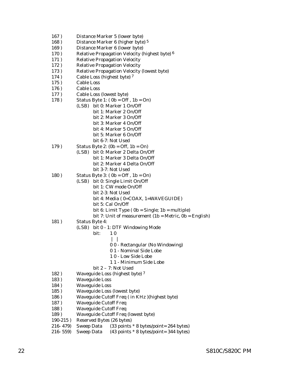- 167 ) Distance Marker 5 (lower byte)
- 168 ) Distance Marker 6 (higher byte) 5
- 169 ) Distance Marker 6 (lower byte)
- 170 ) Relative Propagation Velocity (highest byte) <sup>6</sup>
- 171 ) Relative Propagation Velocity
- 172 ) Relative Propagation Velocity
- 173 ) Relative Propagation Velocity (lowest byte)
- 174 ) Cable Loss (highest byte) 7
- 175 ) Cable Loss
- 176 ) Cable Loss
- 177 ) Cable Loss (lowest byte)
- 178 ) Status Byte 1: ( 0b = Off , 1b = On)
	- (LSB) bit 0: Marker 1 On/Off bit 1: Marker 2 On/Off bit 2: Marker 3 On/Off bit 3: Marker 4 On/Off bit 4: Marker 5 On/Off bit 5: Marker 6 On/Off
- bit 6-7: Not Used 179) Status Byte 2:  $(0b = \text{Off}, 1b = \text{On})$ 
	- (LSB) bit 0: Marker 2 Delta On/Off bit 1: Marker 3 Delta On/Off bit 2: Marker 4 Delta On/Off bit 3-7: Not Used
- 180 ) Status Byte 3: ( 0b = Off , 1b = On)
	- (LSB) bit 0: Single Limit On/Off bit 1: CW mode On/Off
		- bit 2-3: Not Used
		- bit 4: Media ( 0=COAX, 1=WAVEGUIDE)
		- bit 5: Cal On/Off
		- bit 6: Limit Type  $(0b = Single; 1b = multiple)$
		- bit 7: Unit of measurement  $(1b = Metric, 0b = English)$
- 181) Status Byte 4:
	- (LSB) bit 0 1: DTF Windowing Mode
		- bit: 1 0
			- $| \ \ |$ 
				- 0 0 Rectangular (No Windowing)
				- 0 1 Nominal Side Lobe
				- 1 0 Low Side Lobe
				- 1 1 Minimum Side Lobe
		- bit 2 7: Not Used
- 182 ) Waveguide Loss (highest byte) 7
- 183 ) Waveguide Loss
- 184 ) Waveguide Loss
- 185 ) Waveguide Loss (lowest byte)
- 186 ) Waveguide Cutoff Freq ( in KHz )(highest byte)
- 187 ) Waveguide Cutoff Freq
- 188 ) Waveguide Cutoff Freq
- 189 ) Waveguide Cutoff Freq (lowest byte)
- 190-215 ) Reserved Bytes (26 bytes)
- 216- 479) Sweep Data (33 points \* 8 bytes/point= 264 bytes)
- 216- 559) Sweep Data (43 points \* 8 bytes/point= 344 bytes)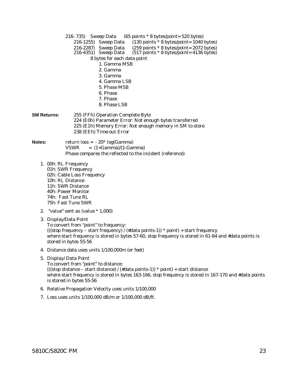216- 735) Sweep Data (65 points \* 8 bytes/point= 520 bytes) 216-1255) Sweep Data (130 points \* 8 bytes/point= 1040 bytes) 216-2287) Sweep Data (259 points \* 8 bytes/point= 2072 bytes)<br>216-4351) Sweep Data (517 points \* 8 bytes/point= 4136 bytes)  $(517 \text{ points} * 8 \text{ bytes} / \text{point} = 4136 \text{ bytes})$ 8 bytes for each data point 1. Gamma MSB 2. Gamma 3. Gamma 4. Gamma LSB 5. Phase MSB 6. Phase 7. Phase 8. Phase LSB **SM Returns:** 255 (FFh) Operation Complete Byte 224 (E0h) Parameter Error: Not enough bytes transferred 225 (E1h) Memory Error: Not enough memory in SM to store 238 (EEh) Time-out Error **Notes:** return loss =  $-20^*$  log(Gamma)  $VSWR = (1 + Gamma)/(1 - Gamma)$ Phase compares the reflected to the incident (reference) 1. 00h: RL Frequency 01h: SWR Frequency 02h: Cable Loss Frequency 10h: RL Distance 11h: SWR Distance 40h: Power Monitor 74h: Fast Tune RL 75h: Fast Tune SWR 2. "value" sent as (value \* 1,000) 3. Display/Data Point To convert from "point" to frequency: (((stop frequency – start frequency) / (#data points-1)) \* point) + start frequency where start frequency is stored in bytes 57-60, stop frequency is stored in 61-64 and #data points is stored in bytes 55-56 4. Distance data uses units 1/100,000m (or feet) 5. Display/ Data Point To convert from "point" to distance: (((stop distance – start distance) / (#data points-1)) \* point) + start distance where start frequency is stored in bytes 163-166, stop frequency is stored in 167-170 and #data points is stored in bytes 55-56 6. Relative Propagation Velocity uses units 1/100,000

7. Loss uses units 1/100,000 dB/m or 1/100,000 dB/ft.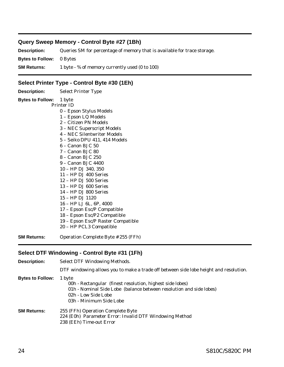# <span id="page-27-0"></span>**Query Sweep Memory - Control Byte #27 (1Bh)**

**Description:** Queries SM for percentage of memory that is available for trace storage. **Bytes to Follow:** 0 Bytes **SM Returns:** 1 byte - % of memory currently used (0 to 100)

# **Select Printer Type - Control Byte #30 (1Eh)**

| <b>Description:</b>            | <b>Select Printer Type</b>                                                                                                                                                                                                                                                                                                                                                                                                                                                                                                                                                                   |
|--------------------------------|----------------------------------------------------------------------------------------------------------------------------------------------------------------------------------------------------------------------------------------------------------------------------------------------------------------------------------------------------------------------------------------------------------------------------------------------------------------------------------------------------------------------------------------------------------------------------------------------|
| <b>Bytes to Follow:</b> 1 byte | <b>Printer ID</b><br>0 – Epson Stylus Models<br>1 - Epson LQ Models<br>2 – Citizen PN Models<br>3 - NEC Superscript Models<br>4 – NEC Silentwriter Models<br>5 - Seiko DPU 411, 414 Models<br>6 – Canon BJC 50<br>7 - Canon BJC 80<br>8 – Canon B.JC 250<br>9 – Canon B.JC 4400<br>10 - HP DJ 340, 350<br>11 - HP DJ 400 Series<br>$12 - HP$ DJ 500 Series<br>$13 - HP$ DJ 600 Series<br>14 – HP DJ 800 Series<br>15 – HP DJ 1120<br>16 - HP LJ 6L, 6P, 4000<br>17 - Epson Esc/P Compatible<br>18 - Epson Esc/P2 Compatible<br>19 - Epson Esc/P Raster Compatible<br>20 - HP PCL3 Compatible |
| SM Returns:                    | Operation Complete Byte # 255 (FFh)                                                                                                                                                                                                                                                                                                                                                                                                                                                                                                                                                          |

# **Select DTF Windowing - Control Byte #31 (1Fh)**

| <b>Description:</b>     | <b>Select DTF Windowing Methods.</b>                                                                                                                                                         |
|-------------------------|----------------------------------------------------------------------------------------------------------------------------------------------------------------------------------------------|
|                         | DTF windowing allows you to make a trade off between side lobe height and resolution.                                                                                                        |
| <b>Bytes to Follow:</b> | 1 byte<br>00h - Rectangular (finest resolution, highest side lobes)<br>01h - Nominal Side Lobe (balance between resolution and side lobes)<br>02h - Low Side Lobe<br>03h - Minimum Side Lobe |
| <b>SM Returns:</b>      | 255 (FFh) Operation Complete Byte<br>224 (E0h) Parameter Error: Invalid DTF Windowing Method<br>238 (EEh) Time-out Error                                                                     |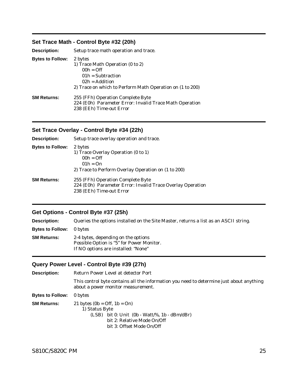# <span id="page-28-0"></span>**Set Trace Math - Control Byte #32 (20h)**

| <b>Description:</b>     | Setup trace math operation and trace.                                                                                                                                   |
|-------------------------|-------------------------------------------------------------------------------------------------------------------------------------------------------------------------|
| <b>Bytes to Follow:</b> | 2 bytes<br>1) Trace Math Operation (0 to 2)<br>$00h = \Omega f$<br>$01h = Subtraction$<br>$02h = Addition$<br>2) Trace on which to Perform Math Operation on (1 to 200) |
| <b>SM Returns:</b>      | 255 (FFh) Operation Complete Byte<br>224 (E0h) Parameter Error: Invalid Trace Math Operation<br>238 (EEh) Time-out Error                                                |

# **Set Trace Overlay - Control Byte #34 (22h)**

| <b>Description:</b>     | Setup trace overlay operation and trace.                                                                                    |
|-------------------------|-----------------------------------------------------------------------------------------------------------------------------|
| <b>Bytes to Follow:</b> | 2 bytes<br>1) Trace Overlay Operation (0 to 1)<br>$00h = Off$<br>$01h = On$                                                 |
|                         | 2) Trace to Perform Overlay Operation on (1 to 200)                                                                         |
| SM Returns:             | 255 (FFh) Operation Complete Byte<br>224 (E0h) Parameter Error: Invalid Trace Overlay Operation<br>238 (EEh) Time-out Error |

# **Get Options - Control Byte #37 (25h)**

**Description:** Queries the options installed on the Site Master, returns a list as an ASCII string.

**Bytes to Follow:** 0 bytes

| <b>SM Returns:</b> | 2-4 bytes, depending on the options       |
|--------------------|-------------------------------------------|
|                    | Possible Option is "5" for Power Monitor. |
|                    | If NO options are installed: "None"       |

# **Query Power Level - Control Byte #39 (27h)**

| <b>Description:</b>     | <b>Return Power Level at detector Port</b>                                                                                                                      |
|-------------------------|-----------------------------------------------------------------------------------------------------------------------------------------------------------------|
|                         | This control byte contains all the information you need to determine just about anything<br>about a power monitor measurement.                                  |
| <b>Bytes to Follow:</b> | 0 bytes                                                                                                                                                         |
| <b>SM Returns:</b>      | 21 bytes $(0b = Off, 1b = On)$<br>1) Status Byte<br>$(LSB)$ bit 0: Unit (0b - Watt/%, 1b - dBm/dBr)<br>bit 2: Relative Mode On/Off<br>bit 3: Offset Mode On/Off |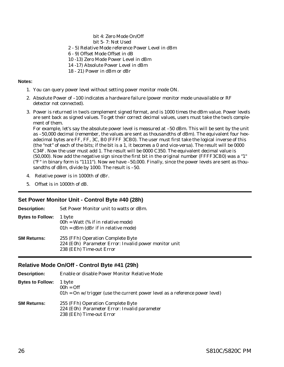<span id="page-29-0"></span>bit 4: Zero Mode On/Off

- bit 5- 7: Not Used
- 2 5) Relative Mode reference Power Level in dBm
- 6 9) Offset Mode Offset in dB
- 10 -13) Zero Mode Power Level in dBm
- 14 -17) Absolute Power Level in dBm
- 18 21) Power in dBm or dBr

# **Notes:**

- 1. You can query power level without setting power monitor mode ON.
- 2. Absolute Power of –100 indicates a hardware failure (power monitor mode unavailable or RF detector not connected).
- 3. Power is returned in two's complement signed format, and is 1000 times the dBm value. Power levels are sent back as signed values. To get their correct decimal values, users must take the two's complement of them.

For example, let's say the absolute power level is measured at –50 dBm. This will be sent by the unit as –50,000 decimal (remember, the values are sent as thousandths of dBm). The equivalent four hexadecimal bytes are FF, FF, 3C, B0 (FFFF 3CB0). The user must first take the logical inverse of this (the "not" of each of the bits; if the bit is a 1, it becomes a 0 and vice-versa). The result will be 0000 C34F. Now the user must add 1. The result will be 0000 C350. The equivalent decimal value is (50,000). Now add the negative sign since the first bit in the original number (FFFF3CB0) was a "1" ("F" in binary form is "1111"). Now we have –50,000. Finally, since the power levels are sent as thousandths of dBm, divide by 1000. The result is –50.

- 4. Relative power is in 1000th of dBr.
- 5. Offset is in 1000th of dB.

# **Set Power Monitor Unit - Control Byte #40 (28h)**

| Set Power Monitor unit to watts or dBm.                                                                                |
|------------------------------------------------------------------------------------------------------------------------|
| 1 byte<br>$00h = W$ att (% if in relative mode)<br>$01h = dBm$ (dBr if in relative mode)                               |
| 255 (FFh) Operation Complete Byte<br>224 (E0h) Parameter Error: Invalid power monitor unit<br>238 (EEh) Time-out Error |
|                                                                                                                        |

# **Relative Mode On/Off - Control Byte #41 (29h)**

| Description:            | Enable or disable Power Monitor Relative Mode                                                                 |  |
|-------------------------|---------------------------------------------------------------------------------------------------------------|--|
| <b>Bytes to Follow:</b> | 1 byte<br>$00h = Off$<br>$01h = On$ w/ trigger (use the current power level as a reference power level)       |  |
| <b>SM Returns:</b>      | 255 (FFh) Operation Complete Byte<br>224 (E0h) Parameter Error: Invalid parameter<br>238 (EEh) Time-out Error |  |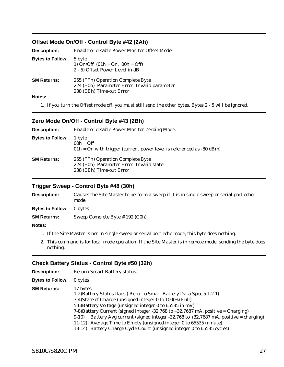# <span id="page-30-0"></span>**Offset Mode On/Off - Control Byte #42 (2Ah)**

| <b>Description:</b>     | Enable or disable Power Monitor Offset Mode                                                                   |
|-------------------------|---------------------------------------------------------------------------------------------------------------|
| <b>Bytes to Follow:</b> | 5 byte<br>1) On/Off $(01h = 0n, 00h = 0ff)$<br>2 - 5) Offset Power Level in dB                                |
| <b>SM Returns:</b>      | 255 (FFh) Operation Complete Byte<br>224 (E0h) Parameter Error: Invalid parameter<br>238 (EEh) Time-out Error |
| Notes:                  |                                                                                                               |

1. If you turn the Offset mode off, you must still send the other bytes. Bytes2-5 will be ignored.

# **Zero Mode On/Off - Control Byte #43 (2Bh)**

| <b>Description:</b>     | Enable or disable Power Monitor Zeroing Mode.                                                             |  |
|-------------------------|-----------------------------------------------------------------------------------------------------------|--|
| <b>Bytes to Follow:</b> | 1 byte<br>$00h = Off$<br>$01h =$ On with trigger (current power level is referenced as -80 dBm)           |  |
| <b>SM Returns:</b>      | 255 (FFh) Operation Complete Byte<br>224 (E0h) Parameter Error: Invalid state<br>238 (EEh) Time-out Error |  |

# **Trigger Sweep - Control Byte #48 (30h)**

| <b>Description:</b>     | Causes the Site Master to perform a sweep if it is in single sweep or serial port echo<br>mode. |
|-------------------------|-------------------------------------------------------------------------------------------------|
| <b>Bytes to Follow:</b> | 0 bytes                                                                                         |
| <b>SM Returns:</b>      | Sweep Complete Byte # 192 (C0h)                                                                 |
| <b>Notes:</b>           |                                                                                                 |

- 1. If the Site Master is not in single sweep or serial port echo mode, this byte does nothing.
- 2. This command is for local mode operation. If the Site Master is in remote mode, sending the byte does nothing.

# **Check Battery Status - Control Byte #50 (32h)**

| <b>Description:</b>     | <b>Return Smart Battery status.</b>                                                                                                                                                                                                                                                                                                                                                                                                                                                                                                            |  |  |
|-------------------------|------------------------------------------------------------------------------------------------------------------------------------------------------------------------------------------------------------------------------------------------------------------------------------------------------------------------------------------------------------------------------------------------------------------------------------------------------------------------------------------------------------------------------------------------|--|--|
| <b>Bytes to Follow:</b> | 0 bytes                                                                                                                                                                                                                                                                                                                                                                                                                                                                                                                                        |  |  |
| SM Returns:             | 17 bytes<br>1-2) Battery Status flags (Refer to Smart Battery Data Spec 5.1.2.1)<br>3-4) State of Charge (unsigned integer 0 to 100(%) Full)<br>5-6) Battery Voltage (unsigned integer 0 to 65535 in mV)<br>7-8) Battery Current (signed integer -32,768 to $+32,7687$ mA, positive = Charging)<br>Battery Avg current (signed integer -32,768 to $+32,7687$ mA, positive = charging)<br>$9-10$<br>11-12) Average Time to Empty (unsigned integer 0 to 65535 minute)<br>13-14) Battery Charge Cycle Count (unsigned integer 0 to 65535 cycles) |  |  |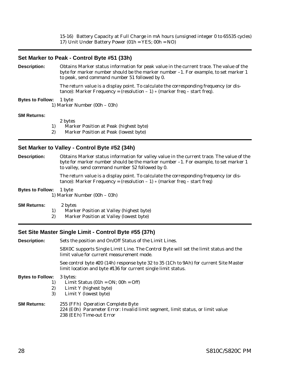<span id="page-31-0"></span>15-16) Battery Capacity at Full Charge in mA hours (unsigned integer 0 to 65535 cycles) 17) Unit Under Battery Power (01h = YES; 00h = NO)

# **Set Marker to Peak - Control Byte #51 (33h)**

**Description:** Obtains Marker status information for peak value in the current trace. The value of the byte for marker number should be the marker number –1. For example, to set marker 1 to peak, send command number 51 followed by 0.

> The return value is a display point. To calculate the corresponding frequency (or distance): Marker Frequency = (resolution  $-1$ )  $*$  (marker freq  $-$  start freq).

### **Bytes to Follow:** 1 byte

1) Marker Number (00h – 03h)

### **SM Returns:**

2 bytes

1) Marker Position at Peak (highest byte)

2) Marker Position at Peak (lowest byte)

## **Set Marker to Valley - Control Byte #52 (34h)**

**Description:** Obtains Marker status information for valley value in the current trace. The value of the byte for marker number should be the marker number –1. For example, to set marker 1 to valley, send command number 52 followed by 0.

> The return value is a display point. To calculate the corresponding frequency (or distance): Marker Frequency = (resolution  $-1$ )  $*$  (marker freq  $-$  start freq)

### **Bytes to Follow:** 1 byte 1) Marker Number (00h – 03h)

### **SM Returns:** 2 bytes

- 1) Marker Position at Valley (highest byte)
- 2) Marker Position at Valley (lowest byte)

### **Set Site Master Single Limit - Control Byte #55 (37h)**

**Description:** Sets the position and On/Off Status of the Limit Lines.

S8X0C supports Single Limit Line. The Control Byte will set the limit status and the limit value for current measurement mode.

See control byte #20 (14h) response byte 32 to 35 (1Ch to 9Ah) for current Site Master limit location and byte #136 for current single limit status.

### **Bytes to Follow:** 3 bytes:

- 1) Limit Status  $(01h = ON; 00h = Off)$
- 2) Limit Y (highest byte)
- 3) Limit Y (lowest byte)

### **SM Returns:** 255 (FFh) Operation Complete Byte 224 (E0h) Parameter Error: Invalid limit segment, limit status, or limit value 238 (EEh) Time-out Error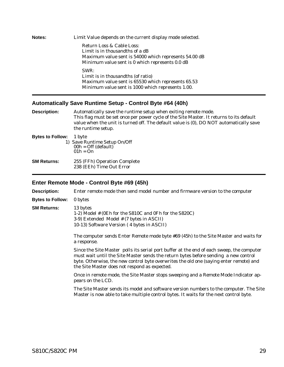<span id="page-32-0"></span>

| Notes: | Limit Value depends on the current display mode selected. |
|--------|-----------------------------------------------------------|
|        | Return Loss & Cable Loss:                                 |
|        | Limit is in thousandths of a dB                           |
|        | Maximum value sent is 54000 which represents 54.00 dB     |
|        | Minimum value sent is 0 which represents 0.0 dB           |
|        | SWR:                                                      |
|        | Limit is in thousandths (of ratio)                        |
|        | Maximum value sent is 65530 which represents 65.53        |
|        | Minimum value sent is 1000 which represents 1.00.         |

# **Automatically Save Runtime Setup - Control Byte #64 (40h)**

| <b>Description:</b>     | Automatically save the runtime setup when exiting remote mode.<br>This flag must be set once per power cycle of the Site Master. It returns to its default<br>value when the unit is turned off. The default value is (0), DO NOT automatically save<br>the runtime setup. |
|-------------------------|----------------------------------------------------------------------------------------------------------------------------------------------------------------------------------------------------------------------------------------------------------------------------|
| <b>Bytes to Follow:</b> | 1 byte<br>1) Save Runtime Setup On/Off<br>$00h =$ Off (default)<br>$01h = On$                                                                                                                                                                                              |
| <b>SM Returns:</b>      | 255 (FFh) Operation Complete<br>238 (EEh) Time Out Error                                                                                                                                                                                                                   |

# **Enter Remote Mode - Control Byte #69 (45h)**

| <b>Description:</b>     | Enter remote mode then send model number and firmware version to the computer                                                                                                                                                                                                                                               |  |  |
|-------------------------|-----------------------------------------------------------------------------------------------------------------------------------------------------------------------------------------------------------------------------------------------------------------------------------------------------------------------------|--|--|
| <b>Bytes to Follow:</b> | 0 bytes                                                                                                                                                                                                                                                                                                                     |  |  |
| <b>SM Returns:</b>      | 13 bytes<br>1-2) Model # (0Eh for the S810C and 0Fh for the S820C)<br>3-9) Extended Model # (7 bytes in ASCII)<br>10-13) Software Version (4 bytes in ASCII)                                                                                                                                                                |  |  |
|                         | The computer sends Enter Remote mode byte #69 (45h) to the Site Master and waits for<br>a response.                                                                                                                                                                                                                         |  |  |
|                         | Since the Site Master polls its serial port buffer at the end of each sweep, the computer<br>must wait until the Site Master sends the return bytes before sending a new control<br>byte. Otherwise, the new control byte overwrites the old one (saying enter remote) and<br>the Site Master does not respond as expected. |  |  |
|                         | Once in remote mode, the Site Master stops sweeping and a Remote Mode Indicator ap-<br>pears on the LCD.                                                                                                                                                                                                                    |  |  |
|                         | The Site Master sends its model and software version numbers to the computer. The Site<br>Master is now able to take multiple control bytes. It waits for the next control byte.                                                                                                                                            |  |  |
|                         |                                                                                                                                                                                                                                                                                                                             |  |  |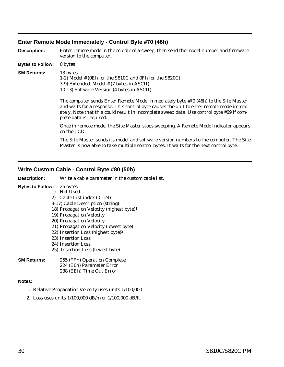# <span id="page-33-0"></span>**Enter Remote Mode Immediately - Control Byte #70 (46h)**

**Description:** Enter remote mode in the middle of a sweep, then send the model number and firmware version to the computer. **Bytes to Follow:** 0 bytes **SM Returns:** 13 bytes 1-2) Model # (0Eh for the S810C and 0Fh for the S820C) 3-9) Extended Model # (7 bytes in ASCII) 10-13) Software Version (4 bytes in ASCII) The computer sends Enter Remote Mode Immediately byte #70 (46h) to the Site Master and waits for a response. This control byte causes the unit to enter remote mode immediately. Note that this could result in incomplete sweep data. Use control byte #69 if complete data is required. Once in remote mode, the Site Master stops sweeping. A Remote Mode Indicator appears on the LCD. The Site Master sends its model and software version numbers to the computer. The Site Master is now able to take multiple control bytes. It waits for the next control byte.

# **Write Custom Cable - Control Byte #80 (50h)**

**Description:** Write a cable parameter in the custom cable list.

## **Bytes to Follow:** 25 bytes

- 1) Not Used
	- 2) Cable List index (0 24)
	- 3-17) Cable Description (string)
	- 18) Propagation Velocity (highest byte)1
	- 19) Propagation Velocity
	- 20) Propagation Velocity
	- 21) Propagation Velocity (lowest byte)
	- 22) Insertion Loss (highest byte)2
	- 23) Insertion Loss
	- 24) Insertion Loss
	- 25) Insertion Loss (lowest byte)

### **SM Returns:** 255 (FFh) Operation Complete 224 (E0h) Parameter Error 238 (EEh) Time Out Error

### **Notes:**

- 1. Relative Propagation Velocity uses units 1/100,000
- 2. Loss uses units 1/100,000 dB/m or 1/100,000 dB/ft.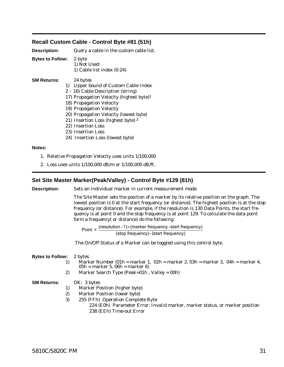# <span id="page-34-0"></span>**Recall Custom Cable - Control Byte #81 (51h)**

| <b>Description:</b>     | Query a cable in the custom cable list.<br>2 byte<br>1) Not Used<br>1) Cable list index $(0-24)$                                                                                                                                                                                                              |
|-------------------------|---------------------------------------------------------------------------------------------------------------------------------------------------------------------------------------------------------------------------------------------------------------------------------------------------------------|
| <b>Bytes to Follow:</b> |                                                                                                                                                                                                                                                                                                               |
| <b>SM Returns:</b>      | 24 bytes<br>1) Upper bound of Custom Cable Index<br>2 - 16) Cable Description (string)<br>17) Propagation Velocity (highest byte) <sup>1</sup><br>18) Propagation Velocity<br>19) Propagation Velocity<br>20) Propagation Velocity (lowest byte)<br>21) Insertion Loss (highest byte) 2<br>22) Insertion Loss |

- 23) Insertion Loss
- 24) Insertion Loss (lowest byte)

### **Notes:**

- 1. Relative Propagation Velocity uses units 1/100,000
- 2. Loss uses units 1/100,000 dB/m or 1/100,000 dB/ft.

# **Set Site Master Marker(Peak/Valley) - Control Byte #129 (81h)**

| Sets an individual marker in current measurement mode.                                                                                                                                                                                                                                                                                                                                                                                   |  |  |
|------------------------------------------------------------------------------------------------------------------------------------------------------------------------------------------------------------------------------------------------------------------------------------------------------------------------------------------------------------------------------------------------------------------------------------------|--|--|
| The Site Master sets the position of a marker by its relative position on the graph. The<br>lowest position is 0 at the start frequency (or distance). The highest position is at the stop<br>frequency (or distance). For example, if the resolution is 130 Data Points, the start fre-<br>quency is at point 0 and the stop frequency is at point 129. To calculate the data point<br>form a frequency (or distance) do the following: |  |  |
| Point = $\frac{(resolution - 1)*(marker frequency - start frequency)}{(stop frequency) - (start frequency)}$                                                                                                                                                                                                                                                                                                                             |  |  |
| The On/Off Status of a Marker can be toggled using this control byte.                                                                                                                                                                                                                                                                                                                                                                    |  |  |
| 2 bytes<br>Marker Number (01h = marker 1, 02h = marker 2, 03h = marker 3, 04h = marker 4,<br>$05h$ = marker 5, 06h = marker 6)<br>Marker Search Type (Peak=01h, Valley = 00h)                                                                                                                                                                                                                                                            |  |  |
|                                                                                                                                                                                                                                                                                                                                                                                                                                          |  |  |

# **SM Returns:** OK: 3 bytes

- 1) Marker Position (higher byte)
- 2) Marker Position (lower byte)
- 3) 255 (FFh) Operation Complete Byte
	- 224 (E0h) Parameter Error: Invalid marker, marker status, or marker position 238 (EEh) Time-out Error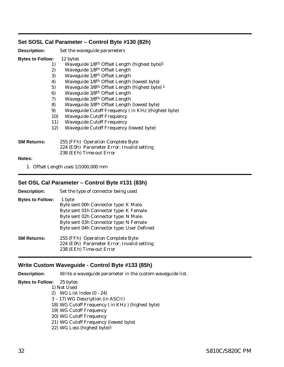# <span id="page-35-0"></span>**Set SOSL Cal Parameter – Control Byte #130 (82h)**

| <b>Description:</b>     |     | Set the waveguide parameters                                          |
|-------------------------|-----|-----------------------------------------------------------------------|
| <b>Bytes to Follow:</b> |     | 12 bytes                                                              |
|                         | 1)  | Waveguide 1/8 <sup>th</sup> Offset Length (highest byte) <sup>1</sup> |
|                         | 2)  | Waveguide 1/8 <sup>th</sup> Offset Length                             |
|                         | 3)  | Waveguide 1/8th Offset Length                                         |
|                         | 4)  | Waveguide 1/8 <sup>th</sup> Offset Length (lowest byte)               |
|                         | 5)  | Waveguide 3/8 <sup>th</sup> Offset Length (highest byte) <sup>1</sup> |
|                         | 6)  | Waveguide 3/8th Offset Length                                         |
|                         | 7)  | Waveguide 3/8 <sup>th</sup> Offset Length                             |
|                         | 8)  | Waveguide 3/8 <sup>th</sup> Offset Length (lowest byte)               |
|                         | 9)  | Waveguide Cutoff Frequency (in KHz)(highest byte)                     |
|                         | 10) | <b>Waveguide Cutoff Frequency</b>                                     |
|                         | 11) | <b>Waveguide Cutoff Frequency</b>                                     |
|                         | 12) | <b>Waveguide Cutoff Frequency (lowest byte)</b>                       |
| SM Returns:             |     | 255 (FFh) Operation Complete Byte                                     |
|                         |     | 224 (E0h) Parameter Error: Invalid setting                            |
|                         |     | 238 (EEh) Time-out Error                                              |
| <b>Notes:</b>           |     |                                                                       |

1. Offset Length uses 1/1000,000 mm

# **Set OSL Cal Parameter – Control Byte #131 (83h)**

| <b>Description:</b>     | Set the type of connector being used                                                                                                                                                                                        |
|-------------------------|-----------------------------------------------------------------------------------------------------------------------------------------------------------------------------------------------------------------------------|
| <b>Bytes to Follow:</b> | 1 byte<br>Byte sent 00h Connector type: K Male.<br>Byte sent 01h Connector type: K Female.<br>Byte sent 02h Connector type: N Male.<br>Byte sent 03h Connector type: N Female<br>Byte sent 04h Connector type: User Defined |
| <b>SM Returns:</b>      | 255 (FFh) Operation Complete Byte<br>224 (E0h) Parameter Error: Invalid setting<br>238 (EEh) Time-out Error                                                                                                                 |

# **Write Custom Waveguide - Control Byte #133 (85h)**

**Description:** Write a waveguide parameter in the custom waveguide list.

### **Bytes to Follow:** 25 bytes 1) Not Used

2) WG List index (0 - 24) 3 – 17) WG Description (in ASCII) 18) WG Cutoff Frequency ( in KHz ) (highest byte) 19) WG Cutoff Frequency 20) WG Cutoff Frequency 21) WG Cutoff Frequency (lowest byte) 22) WG Loss (highest byte)1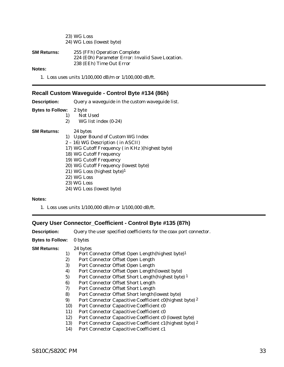<span id="page-36-0"></span>23) WG Loss 24) WG Loss (lowest byte)

| SM Returns: | 255 (FFh) Operation Complete                      |
|-------------|---------------------------------------------------|
|             | 224 (E0h) Parameter Error: Invalid Save Location. |
|             | 238 (EEh) Time Out Error                          |

**Notes:**

1. Loss uses units 1/100,000 dB/m or 1/100,000 dB/ft.

# **Recall Custom Waveguide - Control Byte #134 (86h)**

| <b>Description:</b>            | Query a waveguide in the custom waveguide list.                                                                                                                                                                                                                                                                                              |  |
|--------------------------------|----------------------------------------------------------------------------------------------------------------------------------------------------------------------------------------------------------------------------------------------------------------------------------------------------------------------------------------------|--|
| <b>Bytes to Follow:</b> 2 byte | <b>Not Used</b><br>1)<br>2)<br>WG list index $(0-24)$                                                                                                                                                                                                                                                                                        |  |
| <b>SM Returns:</b>             | 24 bytes<br>1) Upper Bound of Custom WG Index<br>$2 - 16$ ) WG Description (in ASCII)<br>17) WG Cutoff Frequency (in KHz)(highest byte)<br>18) WG Cutoff Frequency<br>19) WG Cutoff Frequency<br>20) WG Cutoff Frequency (lowest byte)<br>21) WG Loss (highest byte) <sup>1</sup><br>22) WG Loss<br>23) WG Loss<br>24) WG Loss (lowest byte) |  |

# **Notes:**

1. Loss uses units 1/100,000 dB/m or 1/100,000 dB/ft.

# **Query User Connector\_Coefficient - Control Byte #135 (87h)**

| <b>Description:</b>     |                                                   | Query the user specified coefficients for the coax port connector.                                                                                                                                                                                                                                                                                                                                          |  |
|-------------------------|---------------------------------------------------|-------------------------------------------------------------------------------------------------------------------------------------------------------------------------------------------------------------------------------------------------------------------------------------------------------------------------------------------------------------------------------------------------------------|--|
| <b>Bytes to Follow:</b> |                                                   | 0 bytes                                                                                                                                                                                                                                                                                                                                                                                                     |  |
| <b>SM Returns:</b>      | 1)<br>2)<br>3)<br>4)<br>5)<br>6)                  | 24 bytes<br>Port Connector Offset Open Length(highest byte) <sup>1</sup><br>Port Connector Offset Open Length<br>Port Connector Offset Open Length<br>Port Connector Offset Open Length(lowest byte)<br>Port Connector Offset Short Length(highest byte) <sup>1</sup><br>Port Connector Offset Short Length                                                                                                 |  |
|                         | 7)<br>8)<br>9)<br>10)<br>11)<br>12)<br>13)<br>14) | Port Connector Offset Short Length<br>Port Connector Offset Short length(lowest byte)<br>Port Connector Capacitive Coefficient c0(highest byte) 2<br>Port Connector Capacitive Coefficient c0<br>Port Connector Capacitive Coefficient c0<br>Port Connector Capacitive Coefficient c0 (lowest byte)<br>Port Connector Capacitive Coefficient c1(highest byte) 2<br>Port Connector Capacitive Coefficient c1 |  |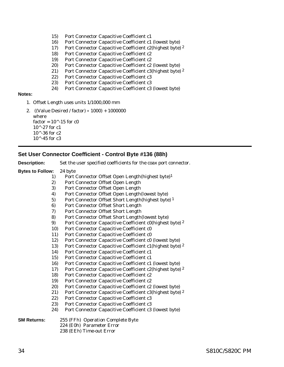- <span id="page-37-0"></span>15) Port Connector Capacitive Coefficient c1
- 16) Port Connector Capacitive Coefficient c1 (lowest byte)
- 17) Port Connector Capacitive Coefficient c2(highest byte) 2
- 18) Port Connector Capacitive Coefficient c2
- 19) Port Connector Capacitive Coefficient c2
- 20) Port Connector Capacitive Coefficient c2 (lowest byte)
- 21) Port Connector Capacitive Coefficient c3(highest byte) <sup>2</sup>
- 22) Port Connector Capacitive Coefficient c3
- 23) Port Connector Capacitive Coefficient c3
- 24) Port Connector Capacitive Coefficient c3 (lowest byte)

### **Notes:**

- 1. Offset Length uses units 1/1000,000 mm
- 2. ((Value Desired / factor) 1000) + 1000000 where factor =  $10^{\circ}$ -15 for c0  $10^{\circ} - 27$  for c1  $10^{\wedge}$ -36 for c2  $10^{\circ} - 45$  for c3

## **Set User Connector Coefficient - Control Byte #136 (88h)**

| <b>Description:</b><br>Set the user specified coefficients for the coax port connector. |
|-----------------------------------------------------------------------------------------|
|-----------------------------------------------------------------------------------------|

- **Bytes to Follow:** 24 byte
	- 1) Port Connector Offset Open Length(highest byte)1
	- 2) Port Connector Offset Open Length
	- 3) Port Connector Offset Open Length
	- 4) Port Connector Offset Open Length(lowest byte)
	- 5) Port Connector Offset Short Length(highest byte) 1
	- 6) Port Connector Offset Short Length
	- 7) Port Connector Offset Short Length
	- 8) Port Connector Offset Short Length(lowest byte)
	- 9) Port Connector Capacitive Coefficient c0(highest byte) 2
	- 10) Port Connector Capacitive Coefficient c0
	- 11) Port Connector Capacitive Coefficient c0
	- 12) Port Connector Capacitive Coefficient c0 (lowest byte)
	- 13) Port Connector Capacitive Coefficient c1(highest byte) 2
	- 14) Port Connector Capacitive Coefficient c1
	- 15) Port Connector Capacitive Coefficient c1
	- 16) Port Connector Capacitive Coefficient c1 (lowest byte)
	- 17) Port Connector Capacitive Coefficient c2(highest byte) 2
	- 18) Port Connector Capacitive Coefficient c2
	- 19) Port Connector Capacitive Coefficient c2
	- 20) Port Connector Capacitive Coefficient c2 (lowest byte)
	- 21) Port Connector Capacitive Coefficient c3(highest byte) <sup>2</sup>
	- 22) Port Connector Capacitive Coefficient c3
	- 23) Port Connector Capacitive Coefficient c3
	- 24) Port Connector Capacitive Coefficient c3 (lowest byte)

- **SM Returns:** 255 (FFh) Operation Complete Byte
	- 224 (E0h) Parameter Error 238 (EEh) Time-out Error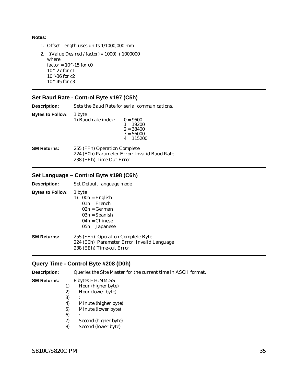<span id="page-38-0"></span>**Notes:**

- 1. Offset Length uses units 1/1000,000 mm
- 2. ((Value Desired / factor) 1000) + 1000000 where factor =  $10^{\circ}$ -15 for c0 10^-27 for c1 10^-36 for c2  $10^{\wedge}$ -45 for c3

# **Set Baud Rate - Control Byte #197 (C5h)**

**Description:** Sets the Baud Rate for serial communications.

**Bytes to Follow:** 1 byte 1) Baud rate index:  $0 = 9600$  $1 = 19200$  $2 = 38400$  $3 = 56000$  $4 = 115200$ 

**SM Returns:** 255 (FFh) Operation Complete 224 (E0h) Parameter Error: Invalid Baud Rate 238 (EEh) Time Out Error

# **Set Language – Control Byte #198 (C6h)**

| <b>Description:</b>     | Set Default language mode                                                                                               |
|-------------------------|-------------------------------------------------------------------------------------------------------------------------|
| <b>Bytes to Follow:</b> | 1 byte<br>$00h =$ English<br>$01h =$ French<br>$02h = German$<br>$03h =$ Spanish<br>$04h = Chinese$<br>$05h = Japanese$ |
| <b>SM Returns:</b>      | 255 (FFh) Operation Complete Byte<br>224 (E0h) Parameter Error: Invalid Language<br>238 (EEh) Time-out Error            |

### **Query Time - Control Byte #208 (D0h)**

**Description:** Queries the Site Master for the current time in ASCII format.

# **SM Returns:** 8 bytes HH:MM:SS

- 1) Hour (higher byte)
- 2) Hour (lower byte)
- $3)$
- 4) Minute (higher byte)
- 5) Minute (lower byte)
- $6)$
- 7) Second (higher byte)
- 8) Second (lower byte)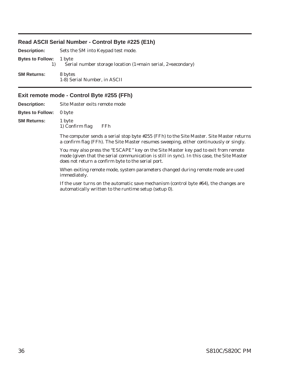# <span id="page-39-0"></span>**Read ASCII Serial Number - Control Byte #225 (E1h)**

| <b>Description:</b>            | Sets the SM into Keypad test mode.                          |  |  |
|--------------------------------|-------------------------------------------------------------|--|--|
| <b>Bytes to Follow:</b> 1 byte | Serial number storage location (1=main serial, 2=secondary) |  |  |
| <b>SM Returns:</b>             | 8 bytes<br>1-8) Serial Number, in ASCII                     |  |  |

# **Exit remote mode - Control Byte #255 (FFh)**

| <b>Description:</b>            | Site Master exits remote mode |     |  |
|--------------------------------|-------------------------------|-----|--|
| <b>Bytes to Follow:</b> 0 byte |                               |     |  |
| <b>SM Returns:</b>             | 1 byte<br>1) Confirm flag     | FFh |  |
|                                |                               |     |  |

The computer sends a serial stop byte #255 (FFh) to the Site Master. Site Master returns a confirm flag (FFh). The Site Master resumes sweeping, either continuously or singly.

You may also press the "ESCAPE" key on the Site Master key pad to exit from remote mode (given that the serial communication is still in sync). In this case, the Site Master does not return a confirm byte to the serial port.

When exiting remote mode, system parameters changed during remote mode are used immediately.

If the user turns on the automatic save mechanism (control byte #64), the changes are automatically written to the runtime setup (setup 0).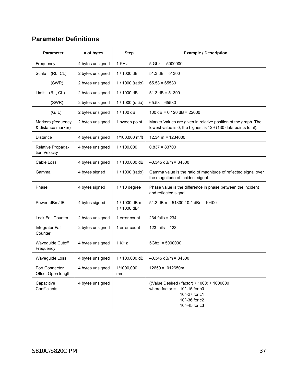# **Parameter Definitions**

| <b>Parameter</b>                         | # of bytes       | <b>Step</b>                  | <b>Example / Description</b>                                                                                                        |
|------------------------------------------|------------------|------------------------------|-------------------------------------------------------------------------------------------------------------------------------------|
| Frequency                                | 4 bytes unsigned | 1 KHz                        | $5$ Ghz = $5000000$                                                                                                                 |
| (RL, CL)<br>Scale                        | 2 bytes unsigned | 1 / 1000 dB                  | $51.3$ dB = $51300$                                                                                                                 |
| (SWR)                                    | 2 bytes unsigned | 1 / 1000 (ratio)             | $65.53 = 65530$                                                                                                                     |
| (RL, CL)<br>Limit                        | 2 bytes unsigned | 1 / 1000 dB                  | $51.3$ dB = $51300$                                                                                                                 |
| (SWR)                                    | 2 bytes unsigned | 1 / 1000 (ratio)             | $65.53 = 65530$                                                                                                                     |
| (G/IL)                                   | 2 bytes unsigned | 1 / 100 dB                   | $100 dB = 0 120 dB = 22000$                                                                                                         |
| Markers (frequency<br>& distance marker) | 2 bytes unsigned | 1 sweep point                | Marker Values are given in relative position of the graph. The<br>lowest value is 0, the highest is 129 (130 data points total).    |
| <b>Distance</b>                          | 4 bytes unsigned | 1/100,000 m/ft               | $12.34 m = 1234000$                                                                                                                 |
| Relative Propaga-<br>tion Velocity       | 4 bytes unsigned | 1/100,000                    | $0.837 = 83700$                                                                                                                     |
| Cable Loss                               | 4 bytes unsigned | 1 / 100,000 dB               | $-0.345$ dB/m = 34500                                                                                                               |
| Gamma                                    | 4 bytes signed   | 1 / 1000 (ratio)             | Gamma value is the ratio of magnitude of reflected signal over<br>the magnitude of incident signal.                                 |
| Phase                                    | 4 bytes signed   | $1/10$ degree                | Phase value is the difference in phase between the incident<br>and reflected signal.                                                |
| Power: dBm/dBr                           | 4 bytes signed   | 1 / 1000 dBm<br>1 / 1000 dBr | 51.3 dBm = $51300$ 10.4 dBr = $10400$                                                                                               |
| Lock Fail Counter                        | 2 bytes unsigned | 1 error count                | $234$ fails = $234$                                                                                                                 |
| Integrator Fail<br>Counter               | 2 bytes unsigned | 1 error count                | 123 fails = $123$                                                                                                                   |
| Waveguide Cutoff<br>Frequency            | 4 bytes unsigned | 1 KHz                        | $5Ghz = 5000000$                                                                                                                    |
| Waveguide Loss                           | 4 bytes unsigned | 1 / 100,000 dB               | $-0.345$ dB/m = 34500                                                                                                               |
| Port Connector<br>Offset Open length     | 4 bytes unsigned | 1/1000,000<br>mm             | $12650 = .012650m$                                                                                                                  |
| Capacitive<br>Coefficients               | 4 bytes unsigned |                              | ((Value Desired / factor) * 1000) + 1000000<br>where factor $=$<br>10^-15 for c0<br>10^-27 for c1<br>10^-36 for c2<br>10^-45 for c3 |